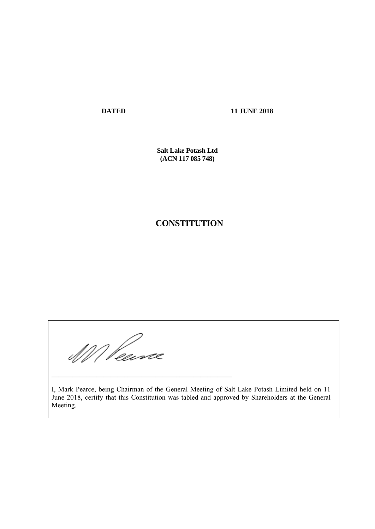**DATED 11 JUNE 2018**

**Salt Lake Potash Ltd (ACN 117 085 748)** 

# **CONSTITUTION**

WV Pearce

\_\_\_\_\_\_\_\_\_\_\_\_\_\_\_\_\_\_\_\_\_\_\_\_\_\_\_\_\_\_\_\_\_\_\_\_\_\_\_\_\_\_\_\_\_\_\_\_\_\_\_\_

I, Mark Pearce, being Chairman of the General Meeting of Salt Lake Potash Limited held on 11 June 2018, certify that this Constitution was tabled and approved by Shareholders at the General Meeting.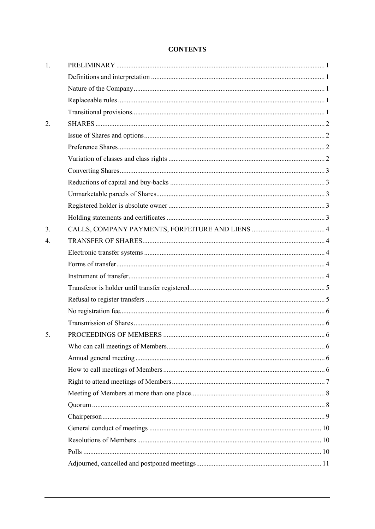# **CONTENTS**

| 2.<br>3.<br>4.<br>5. |  |
|----------------------|--|
|                      |  |
|                      |  |
|                      |  |
|                      |  |
|                      |  |
|                      |  |
|                      |  |
|                      |  |
|                      |  |
|                      |  |
|                      |  |
|                      |  |
|                      |  |
|                      |  |
|                      |  |
|                      |  |
|                      |  |
|                      |  |
|                      |  |
|                      |  |
|                      |  |
|                      |  |
|                      |  |
|                      |  |
|                      |  |
|                      |  |
|                      |  |
|                      |  |
|                      |  |
|                      |  |
|                      |  |
|                      |  |
|                      |  |
|                      |  |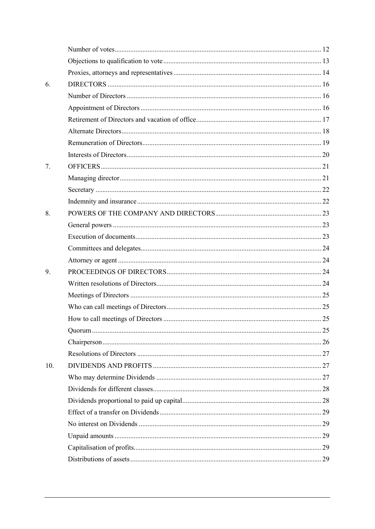| 6.  |  |
|-----|--|
|     |  |
|     |  |
|     |  |
|     |  |
|     |  |
|     |  |
| 7.  |  |
|     |  |
|     |  |
|     |  |
| 8.  |  |
|     |  |
|     |  |
|     |  |
|     |  |
| 9.  |  |
|     |  |
|     |  |
|     |  |
|     |  |
|     |  |
|     |  |
|     |  |
| 10. |  |
|     |  |
|     |  |
|     |  |
|     |  |
|     |  |
|     |  |
|     |  |
|     |  |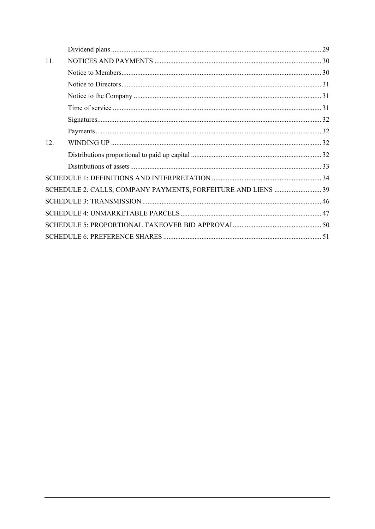| 11. |                                                               |  |
|-----|---------------------------------------------------------------|--|
|     |                                                               |  |
|     |                                                               |  |
|     |                                                               |  |
|     |                                                               |  |
|     |                                                               |  |
|     |                                                               |  |
| 12. |                                                               |  |
|     |                                                               |  |
|     |                                                               |  |
|     |                                                               |  |
|     | SCHEDULE 2: CALLS, COMPANY PAYMENTS, FORFEITURE AND LIENS  39 |  |
|     |                                                               |  |
|     |                                                               |  |
|     |                                                               |  |
|     |                                                               |  |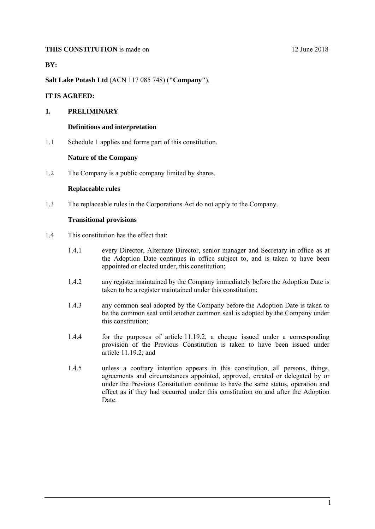### **THIS CONSTITUTION** is made on 12 June 2018

**BY:** 

**Salt Lake Potash Ltd** (ACN 117 085 748) (**"Company"**).

### **IT IS AGREED:**

## <span id="page-4-1"></span><span id="page-4-0"></span>**1. PRELIMINARY**

#### **Definitions and interpretation**

<span id="page-4-2"></span>1.1 Schedule [1](#page-37-0) applies and forms part of this constitution.

### **Nature of the Company**

<span id="page-4-3"></span>1.2 The Company is a public company limited by shares.

### **Replaceable rules**

<span id="page-4-4"></span>1.3 The replaceable rules in the Corporations Act do not apply to the Company.

### **Transitional provisions**

- 1.4 This constitution has the effect that:
	- 1.4.1 every Director, Alternate Director, senior manager and Secretary in office as at the Adoption Date continues in office subject to, and is taken to have been appointed or elected under, this constitution;
	- 1.4.2 any register maintained by the Company immediately before the Adoption Date is taken to be a register maintained under this constitution;
	- 1.4.3 any common seal adopted by the Company before the Adoption Date is taken to be the common seal until another common seal is adopted by the Company under this constitution;
	- 1.4.4 for the purposes of article [11.19.2,](#page-35-4) a cheque issued under a corresponding provision of the Previous Constitution is taken to have been issued under article [11.19.2;](#page-35-4) and
	- 1.4.5 unless a contrary intention appears in this constitution, all persons, things, agreements and circumstances appointed, approved, created or delegated by or under the Previous Constitution continue to have the same status, operation and effect as if they had occurred under this constitution on and after the Adoption Date.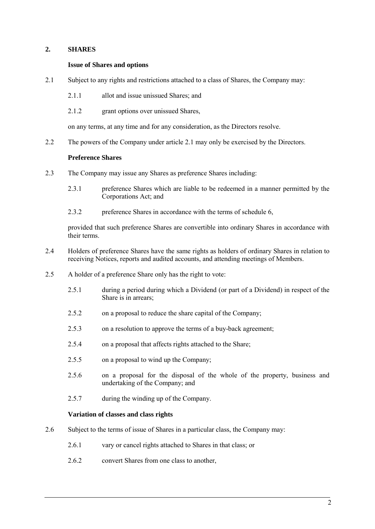# <span id="page-5-1"></span><span id="page-5-0"></span>**2. SHARES**

### **Issue of Shares and options**

- <span id="page-5-4"></span>2.1 Subject to any rights and restrictions attached to a class of Shares, the Company may:
	- 2.1.1 allot and issue unissued Shares; and
	- 2.1.2 grant options over unissued Shares,

on any terms, at any time and for any consideration, as the Directors resolve.

<span id="page-5-2"></span>2.2 The powers of the Company under article [2.1](#page-5-4) may only be exercised by the Directors.

### **Preference Shares**

- <span id="page-5-5"></span>2.3 The Company may issue any Shares as preference Shares including:
	- 2.3.1 preference Shares which are liable to be redeemed in a manner permitted by the Corporations Act; and
	- 2.3.2 preference Shares in accordance with the terms of schedule [6,](#page-54-0)

provided that such preference Shares are convertible into ordinary Shares in accordance with their terms.

- <span id="page-5-7"></span>2.4 Holders of preference Shares have the same rights as holders of ordinary Shares in relation to receiving Notices, reports and audited accounts, and attending meetings of Members.
- <span id="page-5-6"></span>2.5 A holder of a preference Share only has the right to vote:
	- 2.5.1 during a period during which a Dividend (or part of a Dividend) in respect of the Share is in arrears;
	- 2.5.2 on a proposal to reduce the share capital of the Company;
	- 2.5.3 on a resolution to approve the terms of a buy-back agreement;
	- 2.5.4 on a proposal that affects rights attached to the Share;
	- 2.5.5 on a proposal to wind up the Company;
	- 2.5.6 on a proposal for the disposal of the whole of the property, business and undertaking of the Company; and
	- 2.5.7 during the winding up of the Company.

#### **Variation of classes and class rights**

- <span id="page-5-3"></span>2.6 Subject to the terms of issue of Shares in a particular class, the Company may:
	- 2.6.1 vary or cancel rights attached to Shares in that class; or
	- 2.6.2 convert Shares from one class to another,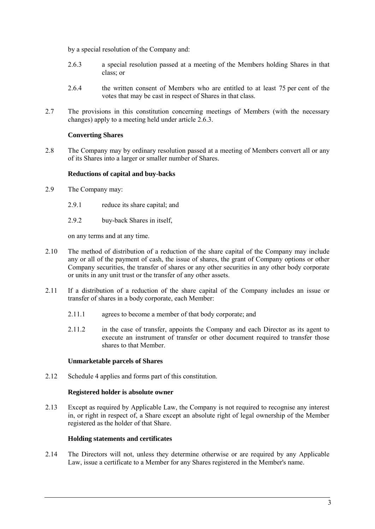by a special resolution of the Company and:

- <span id="page-6-5"></span>2.6.3 a special resolution passed at a meeting of the Members holding Shares in that class; or
- 2.6.4 the written consent of Members who are entitled to at least 75 per cent of the votes that may be cast in respect of Shares in that class.
- 2.7 The provisions in this constitution concerning meetings of Members (with the necessary changes) apply to a meeting held under article [2.6.3.](#page-6-5)

# **Converting Shares**

<span id="page-6-0"></span>2.8 The Company may by ordinary resolution passed at a meeting of Members convert all or any of its Shares into a larger or smaller number of Shares.

# **Reductions of capital and buy-backs**

- <span id="page-6-1"></span>2.9 The Company may:
	- 2.9.1 reduce its share capital; and
	- 2.9.2 buy-back Shares in itself,

on any terms and at any time.

- 2.10 The method of distribution of a reduction of the share capital of the Company may include any or all of the payment of cash, the issue of shares, the grant of Company options or other Company securities, the transfer of shares or any other securities in any other body corporate or units in any unit trust or the transfer of any other assets.
- 2.11 If a distribution of a reduction of the share capital of the Company includes an issue or transfer of shares in a body corporate, each Member:
	- 2.11.1 agrees to become a member of that body corporate; and
	- 2.11.2 in the case of transfer, appoints the Company and each Director as its agent to execute an instrument of transfer or other document required to transfer those shares to that Member.

### **Unmarketable parcels of Shares**

<span id="page-6-3"></span><span id="page-6-2"></span>2.12 Schedule [4](#page-50-0) applies and forms part of this constitution.

### **Registered holder is absolute owner**

2.13 Except as required by Applicable Law, the Company is not required to recognise any interest in, or right in respect of, a Share except an absolute right of legal ownership of the Member registered as the holder of that Share.

### **Holding statements and certificates**

<span id="page-6-6"></span><span id="page-6-4"></span>2.14 The Directors will not, unless they determine otherwise or are required by any Applicable Law, issue a certificate to a Member for any Shares registered in the Member's name.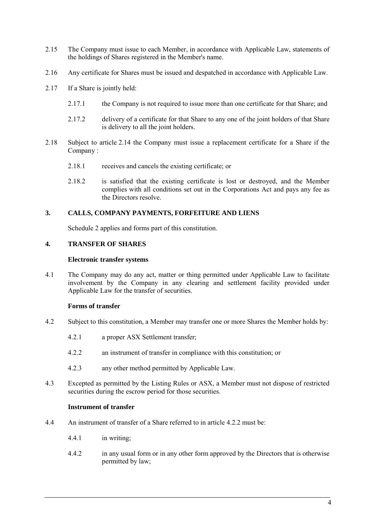- 2.15 The Company must issue to each Member, in accordance with Applicable Law, statements of the holdings of Shares registered in the Member's name.
- 2.16 Any certificate for Shares must be issued and despatched in accordance with Applicable Law.
- 2.17 If a Share is jointly held:
	- 2.17.1 the Company is not required to issue more than one certificate for that Share; and
	- 2.17.2 delivery of a certificate for that Share to any one of the joint holders of that Share is delivery to all the joint holders.
- 2.18 Subject to article [2.14](#page-6-6) the Company must issue a replacement certificate for a Share if the Company :
	- 2.18.1 receives and cancels the existing certificate; or
	- 2.18.2 is satisfied that the existing certificate is lost or destroyed, and the Member complies with all conditions set out in the Corporations Act and pays any fee as the Directors resolve.

### <span id="page-7-0"></span>**3. CALLS, COMPANY PAYMENTS, FORFEITURE AND LIENS**

Schedule [2](#page-42-0) applies and forms part of this constitution.

# <span id="page-7-2"></span><span id="page-7-1"></span>**4. TRANSFER OF SHARES**

### **Electronic transfer systems**

4.1 The Company may do any act, matter or thing permitted under Applicable Law to facilitate involvement by the Company in any clearing and settlement facility provided under Applicable Law for the transfer of securities.

# **Forms of transfer**

- <span id="page-7-5"></span><span id="page-7-3"></span>4.2 Subject to this constitution, a Member may transfer one or more Shares the Member holds by:
	- 4.2.1 a proper ASX Settlement transfer;
	- 4.2.2 an instrument of transfer in compliance with this constitution; or
	- 4.2.3 any other method permitted by Applicable Law.
- 4.3 Excepted as permitted by the Listing Rules or ASX, a Member must not dispose of restricted securities during the escrow period for those securities.

### **Instrument of transfer**

- <span id="page-7-6"></span><span id="page-7-4"></span>4.4 An instrument of transfer of a Share referred to in article [4.2.2](#page-7-5) must be:
	- 4.4.1 in writing;
	- 4.4.2 in any usual form or in any other form approved by the Directors that is otherwise permitted by law;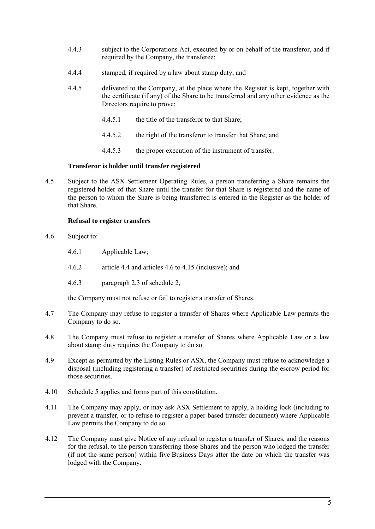- 4.4.3 subject to the Corporations Act, executed by or on behalf of the transferor, and if required by the Company, the transferee;
- 4.4.4 stamped, if required by a law about stamp duty; and
- 4.4.5 delivered to the Company, at the place where the Register is kept, together with the certificate (if any) of the Share to be transferred and any other evidence as the Directors require to prove:
	- 4.4.5.1 the title of the transferor to that Share;
	- 4.4.5.2 the right of the transferor to transfer that Share; and
	- 4.4.5.3 the proper execution of the instrument of transfer.

# **Transferor is holder until transfer registered**

<span id="page-8-0"></span>4.5 Subject to the ASX Settlement Operating Rules, a person transferring a Share remains the registered holder of that Share until the transfer for that Share is registered and the name of the person to whom the Share is being transferred is entered in the Register as the holder of that Share.

# **Refusal to register transfers**

- <span id="page-8-2"></span><span id="page-8-1"></span>4.6 Subject to:
	- 4.6.1 Applicable Law;
	- 4.6.2 article [4.4](#page-7-6) and articles [4.6](#page-8-2) to [4.15](#page-9-6) (inclusive); and
	- 4.6.3 paragraph [2.3](#page-42-1) of schedule [2,](#page-42-0)

the Company must not refuse or fail to register a transfer of Shares.

- <span id="page-8-4"></span>4.7 The Company may refuse to register a transfer of Shares where Applicable Law permits the Company to do so.
- 4.8 The Company must refuse to register a transfer of Shares where Applicable Law or a law about stamp duty requires the Company to do so.
- 4.9 Except as permitted by the Listing Rules or ASX, the Company must refuse to acknowledge a disposal (including registering a transfer) of restricted securities during the escrow period for those securities.
- 4.10 Schedule [5](#page-53-0) applies and forms part of this constitution.
- <span id="page-8-5"></span>4.11 The Company may apply, or may ask ASX Settlement to apply, a holding lock (including to prevent a transfer, or to refuse to register a paper-based transfer document) where Applicable Law permits the Company to do so.
- <span id="page-8-3"></span>4.12 The Company must give Notice of any refusal to register a transfer of Shares, and the reasons for the refusal, to the person transferring those Shares and the person who lodged the transfer (if not the same person) within five Business Days after the date on which the transfer was lodged with the Company.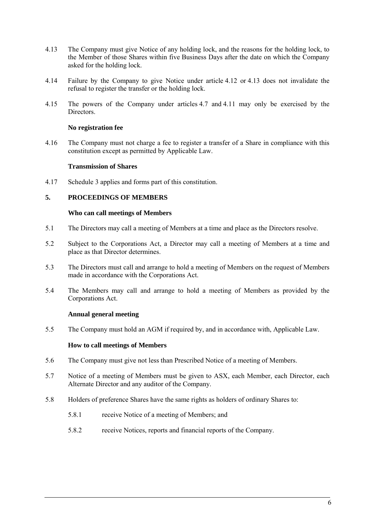- <span id="page-9-7"></span>4.13 The Company must give Notice of any holding lock, and the reasons for the holding lock, to the Member of those Shares within five Business Days after the date on which the Company asked for the holding lock.
- 4.14 Failure by the Company to give Notice under article [4.12](#page-8-3) or [4.13](#page-9-7) does not invalidate the refusal to register the transfer or the holding lock.
- <span id="page-9-6"></span>4.15 The powers of the Company under articles [4.7](#page-8-4) and [4.11](#page-8-5) may only be exercised by the Directors.

### **No registration fee**

<span id="page-9-0"></span>4.16 The Company must not charge a fee to register a transfer of a Share in compliance with this constitution except as permitted by Applicable Law.

### **Transmission of Shares**

<span id="page-9-1"></span>4.17 Schedule [3](#page-49-0) applies and forms part of this constitution.

# <span id="page-9-3"></span><span id="page-9-2"></span>**5. PROCEEDINGS OF MEMBERS**

#### **Who can call meetings of Members**

- 5.1 The Directors may call a meeting of Members at a time and place as the Directors resolve.
- 5.2 Subject to the Corporations Act, a Director may call a meeting of Members at a time and place as that Director determines.
- <span id="page-9-8"></span>5.3 The Directors must call and arrange to hold a meeting of Members on the request of Members made in accordance with the Corporations Act.
- <span id="page-9-9"></span>5.4 The Members may call and arrange to hold a meeting of Members as provided by the Corporations Act.

### **Annual general meeting**

<span id="page-9-5"></span><span id="page-9-4"></span>5.5 The Company must hold an AGM if required by, and in accordance with, Applicable Law.

# **How to call meetings of Members**

- 5.6 The Company must give not less than Prescribed Notice of a meeting of Members.
- 5.7 Notice of a meeting of Members must be given to ASX, each Member, each Director, each Alternate Director and any auditor of the Company.
- 5.8 Holders of preference Shares have the same rights as holders of ordinary Shares to:
	- 5.8.1 receive Notice of a meeting of Members; and
	- 5.8.2 receive Notices, reports and financial reports of the Company.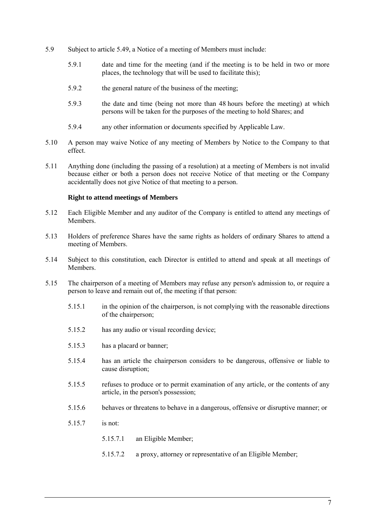- 5.9 Subject to article [5.49,](#page-15-1) a Notice of a meeting of Members must include:
	- 5.9.1 date and time for the meeting (and if the meeting is to be held in two or more places, the technology that will be used to facilitate this);
	- 5.9.2 the general nature of the business of the meeting;
	- 5.9.3 the date and time (being not more than 48 hours before the meeting) at which persons will be taken for the purposes of the meeting to hold Shares; and
	- 5.9.4 any other information or documents specified by Applicable Law.
- 5.10 A person may waive Notice of any meeting of Members by Notice to the Company to that effect.
- 5.11 Anything done (including the passing of a resolution) at a meeting of Members is not invalid because either or both a person does not receive Notice of that meeting or the Company accidentally does not give Notice of that meeting to a person.

# **Right to attend meetings of Members**

- <span id="page-10-0"></span>5.12 Each Eligible Member and any auditor of the Company is entitled to attend any meetings of Members.
- 5.13 Holders of preference Shares have the same rights as holders of ordinary Shares to attend a meeting of Members.
- 5.14 Subject to this constitution, each Director is entitled to attend and speak at all meetings of Members.
- 5.15 The chairperson of a meeting of Members may refuse any person's admission to, or require a person to leave and remain out of, the meeting if that person:
	- 5.15.1 in the opinion of the chairperson, is not complying with the reasonable directions of the chairperson;
	- 5.15.2 has any audio or visual recording device;
	- 5.15.3 has a placard or banner;
	- 5.15.4 has an article the chairperson considers to be dangerous, offensive or liable to cause disruption;
	- 5.15.5 refuses to produce or to permit examination of any article, or the contents of any article, in the person's possession;
	- 5.15.6 behaves or threatens to behave in a dangerous, offensive or disruptive manner; or
	- 5.15.7 is not:
		- 5.15.7.1 an Eligible Member;
		- 5.15.7.2 a proxy, attorney or representative of an Eligible Member;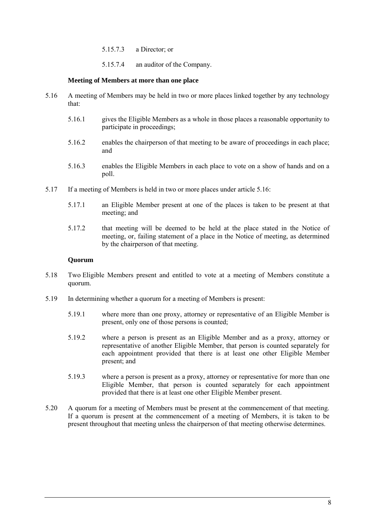- 5.15.7.3 a Director; or
- 5.15.7.4 an auditor of the Company.

### **Meeting of Members at more than one place**

- <span id="page-11-2"></span><span id="page-11-0"></span>5.16 A meeting of Members may be held in two or more places linked together by any technology that:
	- 5.16.1 gives the Eligible Members as a whole in those places a reasonable opportunity to participate in proceedings;
	- 5.16.2 enables the chairperson of that meeting to be aware of proceedings in each place; and
	- 5.16.3 enables the Eligible Members in each place to vote on a show of hands and on a poll.
- 5.17 If a meeting of Members is held in two or more places under article [5.16:](#page-11-2)
	- 5.17.1 an Eligible Member present at one of the places is taken to be present at that meeting; and
	- 5.17.2 that meeting will be deemed to be held at the place stated in the Notice of meeting, or, failing statement of a place in the Notice of meeting, as determined by the chairperson of that meeting.

### **Quorum**

- <span id="page-11-1"></span>5.18 Two Eligible Members present and entitled to vote at a meeting of Members constitute a quorum.
- 5.19 In determining whether a quorum for a meeting of Members is present:
	- 5.19.1 where more than one proxy, attorney or representative of an Eligible Member is present, only one of those persons is counted;
	- 5.19.2 where a person is present as an Eligible Member and as a proxy, attorney or representative of another Eligible Member, that person is counted separately for each appointment provided that there is at least one other Eligible Member present; and
	- 5.19.3 where a person is present as a proxy, attorney or representative for more than one Eligible Member, that person is counted separately for each appointment provided that there is at least one other Eligible Member present.
- 5.20 A quorum for a meeting of Members must be present at the commencement of that meeting. If a quorum is present at the commencement of a meeting of Members, it is taken to be present throughout that meeting unless the chairperson of that meeting otherwise determines.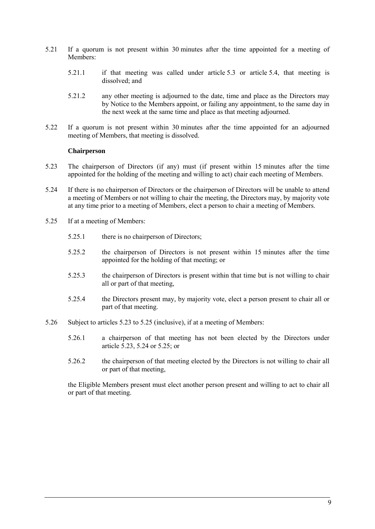- 5.21 If a quorum is not present within 30 minutes after the time appointed for a meeting of Members:
	- 5.21.1 if that meeting was called under article [5.3](#page-9-8) or article [5.4,](#page-9-9) that meeting is dissolved; and
	- 5.21.2 any other meeting is adjourned to the date, time and place as the Directors may by Notice to the Members appoint, or failing any appointment, to the same day in the next week at the same time and place as that meeting adjourned.
- 5.22 If a quorum is not present within 30 minutes after the time appointed for an adjourned meeting of Members, that meeting is dissolved.

### **Chairperson**

- <span id="page-12-1"></span><span id="page-12-0"></span>5.23 The chairperson of Directors (if any) must (if present within 15 minutes after the time appointed for the holding of the meeting and willing to act) chair each meeting of Members.
- <span id="page-12-3"></span>5.24 If there is no chairperson of Directors or the chairperson of Directors will be unable to attend a meeting of Members or not willing to chair the meeting, the Directors may, by majority vote at any time prior to a meeting of Members, elect a person to chair a meeting of Members.
- <span id="page-12-2"></span>5.25 If at a meeting of Members:
	- 5.25.1 there is no chairperson of Directors;
	- 5.25.2 the chairperson of Directors is not present within 15 minutes after the time appointed for the holding of that meeting; or
	- 5.25.3 the chairperson of Directors is present within that time but is not willing to chair all or part of that meeting,
	- 5.25.4 the Directors present may, by majority vote, elect a person present to chair all or part of that meeting.
- 5.26 Subject to articles [5.23](#page-12-1) to [5.25](#page-12-2) (inclusive), if at a meeting of Members:
	- 5.26.1 a chairperson of that meeting has not been elected by the Directors under article [5.23,](#page-12-1) [5.24](#page-12-3) or [5.25;](#page-12-2) or
	- 5.26.2 the chairperson of that meeting elected by the Directors is not willing to chair all or part of that meeting,

the Eligible Members present must elect another person present and willing to act to chair all or part of that meeting.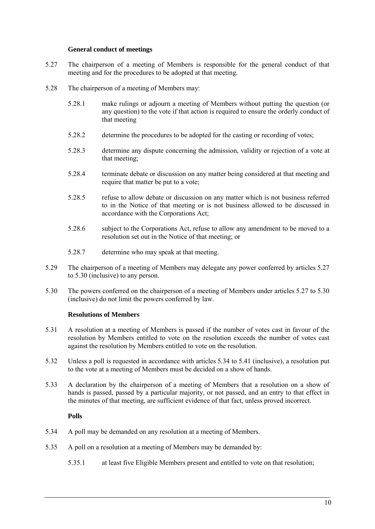### **General conduct of meetings**

- <span id="page-13-3"></span><span id="page-13-0"></span>5.27 The chairperson of a meeting of Members is responsible for the general conduct of that meeting and for the procedures to be adopted at that meeting.
- 5.28 The chairperson of a meeting of Members may:
	- 5.28.1 make rulings or adjourn a meeting of Members without putting the question (or any question) to the vote if that action is required to ensure the orderly conduct of that meeting
	- 5.28.2 determine the procedures to be adopted for the casting or recording of votes;
	- 5.28.3 determine any dispute concerning the admission, validity or rejection of a vote at that meeting;
	- 5.28.4 terminate debate or discussion on any matter being considered at that meeting and require that matter be put to a vote;
	- 5.28.5 refuse to allow debate or discussion on any matter which is not business referred to in the Notice of that meeting or is not business allowed to be discussed in accordance with the Corporations Act;
	- 5.28.6 subject to the Corporations Act, refuse to allow any amendment to be moved to a resolution set out in the Notice of that meeting; or
	- 5.28.7 determine who may speak at that meeting.
- 5.29 The chairperson of a meeting of Members may delegate any power conferred by articles [5.27](#page-13-3) to [5.30](#page-13-4) (inclusive) to any person.
- <span id="page-13-4"></span>5.30 The powers conferred on the chairperson of a meeting of Members under articles [5.27](#page-13-3) to [5.30](#page-13-4) (inclusive) do not limit the powers conferred by law.

### **Resolutions of Members**

- <span id="page-13-1"></span>5.31 A resolution at a meeting of Members is passed if the number of votes cast in favour of the resolution by Members entitled to vote on the resolution exceeds the number of votes cast against the resolution by Members entitled to vote on the resolution.
- 5.32 Unless a poll is requested in accordance with articles [5.34](#page-13-5) to [5.41](#page-14-1) (inclusive), a resolution put to the vote at a meeting of Members must be decided on a show of hands.
- 5.33 A declaration by the chairperson of a meeting of Members that a resolution on a show of hands is passed, passed by a particular majority, or not passed, and an entry to that effect in the minutes of that meeting, are sufficient evidence of that fact, unless proved incorrect.

### **Polls**

- <span id="page-13-5"></span><span id="page-13-2"></span>5.34 A poll may be demanded on any resolution at a meeting of Members.
- 5.35 A poll on a resolution at a meeting of Members may be demanded by:
	- 5.35.1 at least five Eligible Members present and entitled to vote on that resolution;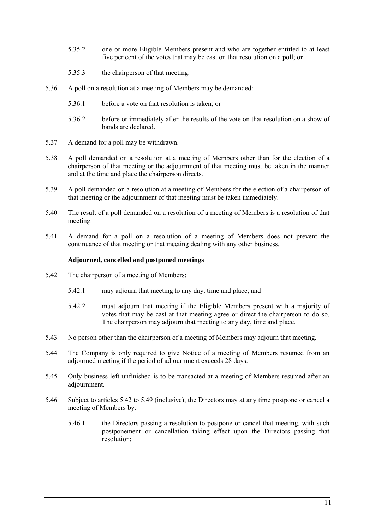- 5.35.2 one or more Eligible Members present and who are together entitled to at least five per cent of the votes that may be cast on that resolution on a poll; or
- 5.35.3 the chairperson of that meeting.
- 5.36 A poll on a resolution at a meeting of Members may be demanded:
	- 5.36.1 before a vote on that resolution is taken; or
	- 5.36.2 before or immediately after the results of the vote on that resolution on a show of hands are declared.
- 5.37 A demand for a poll may be withdrawn.
- 5.38 A poll demanded on a resolution at a meeting of Members other than for the election of a chairperson of that meeting or the adjournment of that meeting must be taken in the manner and at the time and place the chairperson directs.
- 5.39 A poll demanded on a resolution at a meeting of Members for the election of a chairperson of that meeting or the adjournment of that meeting must be taken immediately.
- 5.40 The result of a poll demanded on a resolution of a meeting of Members is a resolution of that meeting.
- <span id="page-14-1"></span>5.41 A demand for a poll on a resolution of a meeting of Members does not prevent the continuance of that meeting or that meeting dealing with any other business.

# **Adjourned, cancelled and postponed meetings**

- <span id="page-14-2"></span><span id="page-14-0"></span>5.42 The chairperson of a meeting of Members:
	- 5.42.1 may adjourn that meeting to any day, time and place; and
	- 5.42.2 must adjourn that meeting if the Eligible Members present with a majority of votes that may be cast at that meeting agree or direct the chairperson to do so. The chairperson may adjourn that meeting to any day, time and place.
- 5.43 No person other than the chairperson of a meeting of Members may adjourn that meeting.
- <span id="page-14-3"></span>5.44 The Company is only required to give Notice of a meeting of Members resumed from an adjourned meeting if the period of adjournment exceeds 28 days.
- 5.45 Only business left unfinished is to be transacted at a meeting of Members resumed after an adjournment.
- 5.46 Subject to articles [5.42](#page-14-2) to [5.49](#page-15-1) (inclusive), the Directors may at any time postpone or cancel a meeting of Members by:
	- 5.46.1 the Directors passing a resolution to postpone or cancel that meeting, with such postponement or cancellation taking effect upon the Directors passing that resolution;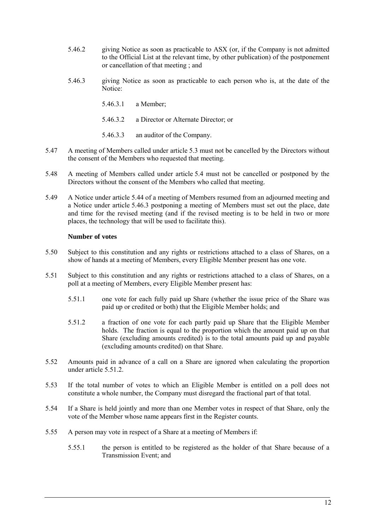- 5.46.2 giving Notice as soon as practicable to ASX (or, if the Company is not admitted to the Official List at the relevant time, by other publication) of the postponement or cancellation of that meeting ; and
- <span id="page-15-2"></span>5.46.3 giving Notice as soon as practicable to each person who is, at the date of the Notice:
	- 5.46.3.1 a Member;
	- 5.46.3.2 a Director or Alternate Director; or
	- 5.46.3.3 an auditor of the Company.
- 5.47 A meeting of Members called under article [5.3](#page-9-8) must not be cancelled by the Directors without the consent of the Members who requested that meeting.
- 5.48 A meeting of Members called under article [5.4](#page-9-9) must not be cancelled or postponed by the Directors without the consent of the Members who called that meeting.
- <span id="page-15-1"></span>5.49 A Notice under article [5.44](#page-14-3) of a meeting of Members resumed from an adjourned meeting and a Notice under article [5.46.3](#page-15-2) postponing a meeting of Members must set out the place, date and time for the revised meeting (and if the revised meeting is to be held in two or more places, the technology that will be used to facilitate this).

### **Number of votes**

- <span id="page-15-0"></span>5.50 Subject to this constitution and any rights or restrictions attached to a class of Shares, on a show of hands at a meeting of Members, every Eligible Member present has one vote.
- 5.51 Subject to this constitution and any rights or restrictions attached to a class of Shares, on a poll at a meeting of Members, every Eligible Member present has:
	- 5.51.1 one vote for each fully paid up Share (whether the issue price of the Share was paid up or credited or both) that the Eligible Member holds; and
	- 5.51.2 a fraction of one vote for each partly paid up Share that the Eligible Member holds. The fraction is equal to the proportion which the amount paid up on that Share (excluding amounts credited) is to the total amounts paid up and payable (excluding amounts credited) on that Share.
- <span id="page-15-3"></span>5.52 Amounts paid in advance of a call on a Share are ignored when calculating the proportion under article [5.51.2.](#page-15-3)
- 5.53 If the total number of votes to which an Eligible Member is entitled on a poll does not constitute a whole number, the Company must disregard the fractional part of that total.
- 5.54 If a Share is held jointly and more than one Member votes in respect of that Share, only the vote of the Member whose name appears first in the Register counts.
- 5.55 A person may vote in respect of a Share at a meeting of Members if:
	- 5.55.1 the person is entitled to be registered as the holder of that Share because of a Transmission Event; and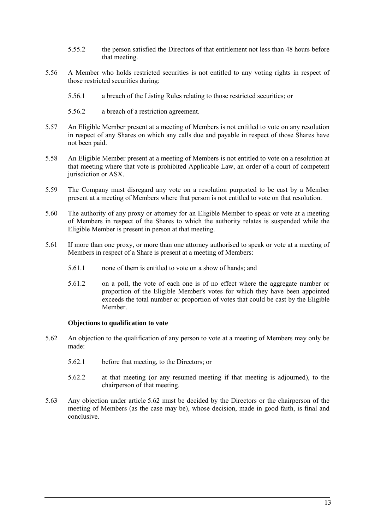- 5.55.2 the person satisfied the Directors of that entitlement not less than 48 hours before that meeting.
- 5.56 A Member who holds restricted securities is not entitled to any voting rights in respect of those restricted securities during:
	- 5.56.1 a breach of the Listing Rules relating to those restricted securities; or
	- 5.56.2 a breach of a restriction agreement.
- 5.57 An Eligible Member present at a meeting of Members is not entitled to vote on any resolution in respect of any Shares on which any calls due and payable in respect of those Shares have not been paid.
- 5.58 An Eligible Member present at a meeting of Members is not entitled to vote on a resolution at that meeting where that vote is prohibited Applicable Law, an order of a court of competent jurisdiction or ASX.
- 5.59 The Company must disregard any vote on a resolution purported to be cast by a Member present at a meeting of Members where that person is not entitled to vote on that resolution.
- 5.60 The authority of any proxy or attorney for an Eligible Member to speak or vote at a meeting of Members in respect of the Shares to which the authority relates is suspended while the Eligible Member is present in person at that meeting.
- 5.61 If more than one proxy, or more than one attorney authorised to speak or vote at a meeting of Members in respect of a Share is present at a meeting of Members:
	- 5.61.1 none of them is entitled to vote on a show of hands; and
	- 5.61.2 on a poll, the vote of each one is of no effect where the aggregate number or proportion of the Eligible Member's votes for which they have been appointed exceeds the total number or proportion of votes that could be cast by the Eligible Member.

### **Objections to qualification to vote**

- <span id="page-16-1"></span><span id="page-16-0"></span>5.62 An objection to the qualification of any person to vote at a meeting of Members may only be made:
	- 5.62.1 before that meeting, to the Directors; or
	- 5.62.2 at that meeting (or any resumed meeting if that meeting is adjourned), to the chairperson of that meeting.
- 5.63 Any objection under article [5.62](#page-16-1) must be decided by the Directors or the chairperson of the meeting of Members (as the case may be), whose decision, made in good faith, is final and conclusive.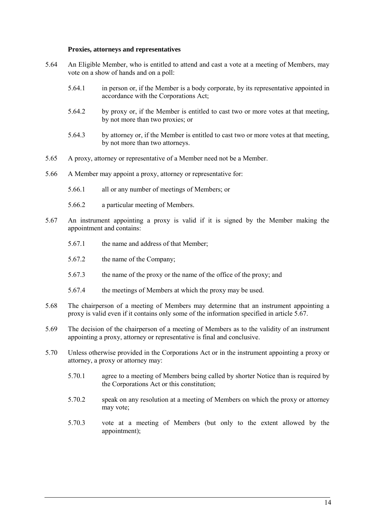#### **Proxies, attorneys and representatives**

- <span id="page-17-0"></span>5.64 An Eligible Member, who is entitled to attend and cast a vote at a meeting of Members, may vote on a show of hands and on a poll:
	- 5.64.1 in person or, if the Member is a body corporate, by its representative appointed in accordance with the Corporations Act;
	- 5.64.2 by proxy or, if the Member is entitled to cast two or more votes at that meeting, by not more than two proxies; or
	- 5.64.3 by attorney or, if the Member is entitled to cast two or more votes at that meeting, by not more than two attorneys.
- 5.65 A proxy, attorney or representative of a Member need not be a Member.
- 5.66 A Member may appoint a proxy, attorney or representative for:
	- 5.66.1 all or any number of meetings of Members; or
	- 5.66.2 a particular meeting of Members.
- <span id="page-17-1"></span>5.67 An instrument appointing a proxy is valid if it is signed by the Member making the appointment and contains:
	- 5.67.1 the name and address of that Member;
	- 5.67.2 the name of the Company;
	- 5.67.3 the name of the proxy or the name of the office of the proxy; and
	- 5.67.4 the meetings of Members at which the proxy may be used.
- 5.68 The chairperson of a meeting of Members may determine that an instrument appointing a proxy is valid even if it contains only some of the information specified in article [5.67.](#page-17-1)
- 5.69 The decision of the chairperson of a meeting of Members as to the validity of an instrument appointing a proxy, attorney or representative is final and conclusive.
- 5.70 Unless otherwise provided in the Corporations Act or in the instrument appointing a proxy or attorney, a proxy or attorney may:
	- 5.70.1 agree to a meeting of Members being called by shorter Notice than is required by the Corporations Act or this constitution;
	- 5.70.2 speak on any resolution at a meeting of Members on which the proxy or attorney may vote;
	- 5.70.3 vote at a meeting of Members (but only to the extent allowed by the appointment);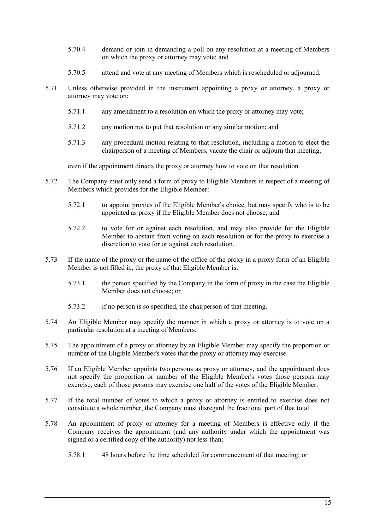- 5.70.4 demand or join in demanding a poll on any resolution at a meeting of Members on which the proxy or attorney may vote; and
- 5.70.5 attend and vote at any meeting of Members which is rescheduled or adjourned.
- 5.71 Unless otherwise provided in the instrument appointing a proxy or attorney, a proxy or attorney may vote on:
	- 5.71.1 any amendment to a resolution on which the proxy or attorney may vote;
	- 5.71.2 any motion not to put that resolution or any similar motion; and
	- 5.71.3 any procedural motion relating to that resolution, including a motion to elect the chairperson of a meeting of Members, vacate the chair or adjourn that meeting,

even if the appointment directs the proxy or attorney how to vote on that resolution.

- 5.72 The Company must only send a form of proxy to Eligible Members in respect of a meeting of Members which provides for the Eligible Member:
	- 5.72.1 to appoint proxies of the Eligible Member's choice, but may specify who is to be appointed as proxy if the Eligible Member does not choose; and
	- 5.72.2 to vote for or against each resolution, and may also provide for the Eligible Member to abstain from voting on each resolution or for the proxy to exercise a discretion to vote for or against each resolution.
- 5.73 If the name of the proxy or the name of the office of the proxy in a proxy form of an Eligible Member is not filled in, the proxy of that Eligible Member is:
	- 5.73.1 the person specified by the Company in the form of proxy in the case the Eligible Member does not choose; or
	- 5.73.2 if no person is so specified, the chairperson of that meeting.
- 5.74 An Eligible Member may specify the manner in which a proxy or attorney is to vote on a particular resolution at a meeting of Members.
- 5.75 The appointment of a proxy or attorney by an Eligible Member may specify the proportion or number of the Eligible Member's votes that the proxy or attorney may exercise.
- 5.76 If an Eligible Member appoints two persons as proxy or attorney, and the appointment does not specify the proportion or number of the Eligible Member's votes those persons may exercise, each of those persons may exercise one half of the votes of the Eligible Member.
- 5.77 If the total number of votes to which a proxy or attorney is entitled to exercise does not constitute a whole number, the Company must disregard the fractional part of that total.
- 5.78 An appointment of proxy or attorney for a meeting of Members is effective only if the Company receives the appointment (and any authority under which the appointment was signed or a certified copy of the authority) not less than:
	- 5.78.1 48 hours before the time scheduled for commencement of that meeting; or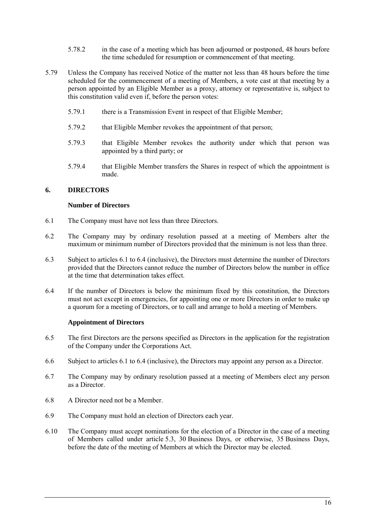- 5.78.2 in the case of a meeting which has been adjourned or postponed, 48 hours before the time scheduled for resumption or commencement of that meeting.
- 5.79 Unless the Company has received Notice of the matter not less than 48 hours before the time scheduled for the commencement of a meeting of Members, a vote cast at that meeting by a person appointed by an Eligible Member as a proxy, attorney or representative is, subject to this constitution valid even if, before the person votes:
	- 5.79.1 there is a Transmission Event in respect of that Eligible Member;
	- 5.79.2 that Eligible Member revokes the appointment of that person;
	- 5.79.3 that Eligible Member revokes the authority under which that person was appointed by a third party; or
	- 5.79.4 that Eligible Member transfers the Shares in respect of which the appointment is made.

# <span id="page-19-1"></span><span id="page-19-0"></span>**6. DIRECTORS**

### **Number of Directors**

- <span id="page-19-3"></span>6.1 The Company must have not less than three Directors.
- 6.2 The Company may by ordinary resolution passed at a meeting of Members alter the maximum or minimum number of Directors provided that the minimum is not less than three.
- 6.3 Subject to articles [6.1](#page-19-3) to [6.4](#page-19-4) (inclusive), the Directors must determine the number of Directors provided that the Directors cannot reduce the number of Directors below the number in office at the time that determination takes effect.
- <span id="page-19-4"></span>6.4 If the number of Directors is below the minimum fixed by this constitution, the Directors must not act except in emergencies, for appointing one or more Directors in order to make up a quorum for a meeting of Directors, or to call and arrange to hold a meeting of Members.

### **Appointment of Directors**

- <span id="page-19-2"></span>6.5 The first Directors are the persons specified as Directors in the application for the registration of the Company under the Corporations Act.
- <span id="page-19-5"></span>6.6 Subject to articles [6.1](#page-19-3) to [6.4](#page-19-4) (inclusive), the Directors may appoint any person as a Director.
- 6.7 The Company may by ordinary resolution passed at a meeting of Members elect any person as a Director.
- 6.8 A Director need not be a Member.
- 6.9 The Company must hold an election of Directors each year.
- 6.10 The Company must accept nominations for the election of a Director in the case of a meeting of Members called under article [5.3,](#page-9-8) 30 Business Days, or otherwise, 35 Business Days, before the date of the meeting of Members at which the Director may be elected.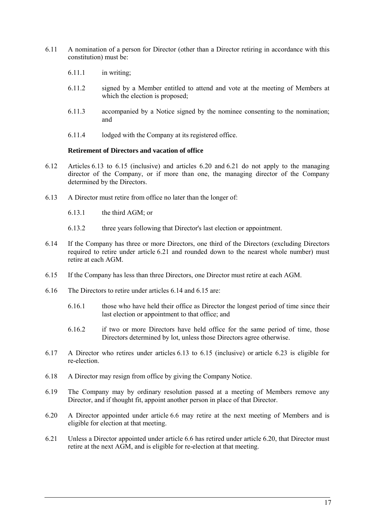- 6.11 A nomination of a person for Director (other than a Director retiring in accordance with this constitution) must be:
	- 6.11.1 in writing;
	- 6.11.2 signed by a Member entitled to attend and vote at the meeting of Members at which the election is proposed;
	- 6.11.3 accompanied by a Notice signed by the nominee consenting to the nomination; and
	- 6.11.4 lodged with the Company at its registered office.

### **Retirement of Directors and vacation of office**

- <span id="page-20-0"></span>6.12 Articles [6.13](#page-20-1) to [6.15](#page-20-2) (inclusive) and articles [6.20](#page-20-3) and [6.21](#page-20-4) do not apply to the managing director of the Company, or if more than one, the managing director of the Company determined by the Directors.
- <span id="page-20-1"></span>6.13 A Director must retire from office no later than the longer of:
	- 6.13.1 the third AGM; or
	- 6.13.2 three years following that Director's last election or appointment.
- <span id="page-20-5"></span>6.14 If the Company has three or more Directors, one third of the Directors (excluding Directors required to retire under article [6.21](#page-20-4) and rounded down to the nearest whole number) must retire at each AGM.
- <span id="page-20-2"></span>6.15 If the Company has less than three Directors, one Director must retire at each AGM.
- 6.16 The Directors to retire under articles [6.14](#page-20-5) an[d 6.15](#page-20-2) are:
	- 6.16.1 those who have held their office as Director the longest period of time since their last election or appointment to that office; and
	- 6.16.2 if two or more Directors have held office for the same period of time, those Directors determined by lot, unless those Directors agree otherwise.
- 6.17 A Director who retires under articles [6.13](#page-20-1) to [6.15](#page-20-2) (inclusive) or article [6.23](#page-21-1) is eligible for re-election.
- 6.18 A Director may resign from office by giving the Company Notice.
- 6.19 The Company may by ordinary resolution passed at a meeting of Members remove any Director, and if thought fit, appoint another person in place of that Director.
- <span id="page-20-3"></span>6.20 A Director appointed under article [6.6](#page-19-5) may retire at the next meeting of Members and is eligible for election at that meeting.
- <span id="page-20-4"></span>6.21 Unless a Director appointed under article [6.6](#page-19-5) has retired under article [6.20,](#page-20-3) that Director must retire at the next AGM, and is eligible for re-election at that meeting.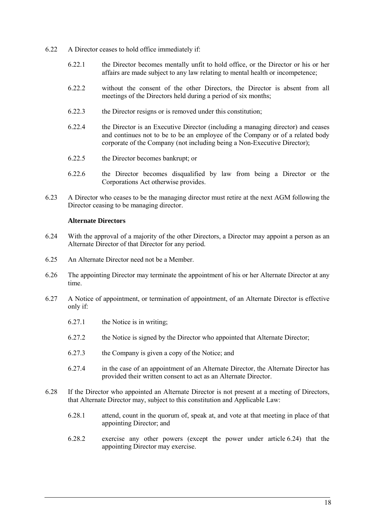- 6.22 A Director ceases to hold office immediately if:
	- 6.22.1 the Director becomes mentally unfit to hold office, or the Director or his or her affairs are made subject to any law relating to mental health or incompetence;
	- 6.22.2 without the consent of the other Directors, the Director is absent from all meetings of the Directors held during a period of six months;
	- 6.22.3 the Director resigns or is removed under this constitution;
	- 6.22.4 the Director is an Executive Director (including a managing director) and ceases and continues not to be to be an employee of the Company or of a related body corporate of the Company (not including being a Non-Executive Director);
	- 6.22.5 the Director becomes bankrupt; or
	- 6.22.6 the Director becomes disqualified by law from being a Director or the Corporations Act otherwise provides.
- <span id="page-21-3"></span><span id="page-21-1"></span>6.23 A Director who ceases to be the managing director must retire at the next AGM following the Director ceasing to be managing director.

### **Alternate Directors**

- <span id="page-21-2"></span><span id="page-21-0"></span>6.24 With the approval of a majority of the other Directors, a Director may appoint a person as an Alternate Director of that Director for any period.
- 6.25 An Alternate Director need not be a Member.
- 6.26 The appointing Director may terminate the appointment of his or her Alternate Director at any time.
- 6.27 A Notice of appointment, or termination of appointment, of an Alternate Director is effective only if:
	- 6.27.1 the Notice is in writing;
	- 6.27.2 the Notice is signed by the Director who appointed that Alternate Director;
	- 6.27.3 the Company is given a copy of the Notice; and
	- 6.27.4 in the case of an appointment of an Alternate Director, the Alternate Director has provided their written consent to act as an Alternate Director.
- <span id="page-21-4"></span>6.28 If the Director who appointed an Alternate Director is not present at a meeting of Directors, that Alternate Director may, subject to this constitution and Applicable Law:
	- 6.28.1 attend, count in the quorum of, speak at, and vote at that meeting in place of that appointing Director; and
	- 6.28.2 exercise any other powers (except the power under article [6.24\)](#page-21-2) that the appointing Director may exercise.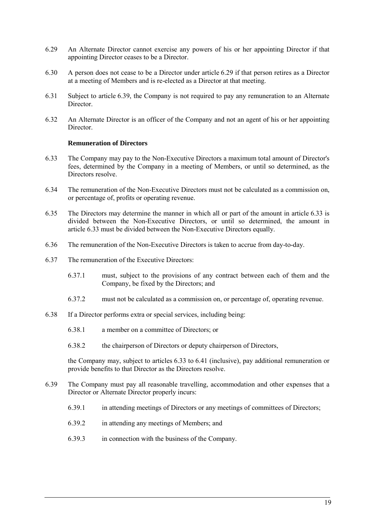- <span id="page-22-1"></span>6.29 An Alternate Director cannot exercise any powers of his or her appointing Director if that appointing Director ceases to be a Director.
- 6.30 A person does not cease to be a Director under article [6.29](#page-22-1) if that person retires as a Director at a meeting of Members and is re-elected as a Director at that meeting.
- 6.31 Subject to article [6.39,](#page-22-2) the Company is not required to pay any remuneration to an Alternate Director.
- <span id="page-22-4"></span>6.32 An Alternate Director is an officer of the Company and not an agent of his or her appointing Director.

### **Remuneration of Directors**

- <span id="page-22-3"></span><span id="page-22-0"></span>6.33 The Company may pay to the Non-Executive Directors a maximum total amount of Director's fees, determined by the Company in a meeting of Members, or until so determined, as the Directors resolve.
- 6.34 The remuneration of the Non-Executive Directors must not be calculated as a commission on, or percentage of, profits or operating revenue.
- 6.35 The Directors may determine the manner in which all or part of the amount in article [6.33](#page-22-3) is divided between the Non-Executive Directors, or until so determined, the amount in article [6.33](#page-22-3) must be divided between the Non-Executive Directors equally.
- 6.36 The remuneration of the Non-Executive Directors is taken to accrue from day-to-day.
- 6.37 The remuneration of the Executive Directors:
	- 6.37.1 must, subject to the provisions of any contract between each of them and the Company, be fixed by the Directors; and
	- 6.37.2 must not be calculated as a commission on, or percentage of, operating revenue.
- 6.38 If a Director performs extra or special services, including being:
	- 6.38.1 a member on a committee of Directors; or
	- 6.38.2 the chairperson of Directors or deputy chairperson of Directors,

the Company may, subject to articles [6.33](#page-22-3) to [6.41](#page-23-1) (inclusive), pay additional remuneration or provide benefits to that Director as the Directors resolve.

- <span id="page-22-2"></span>6.39 The Company must pay all reasonable travelling, accommodation and other expenses that a Director or Alternate Director properly incurs:
	- 6.39.1 in attending meetings of Directors or any meetings of committees of Directors;
	- 6.39.2 in attending any meetings of Members; and
	- 6.39.3 in connection with the business of the Company.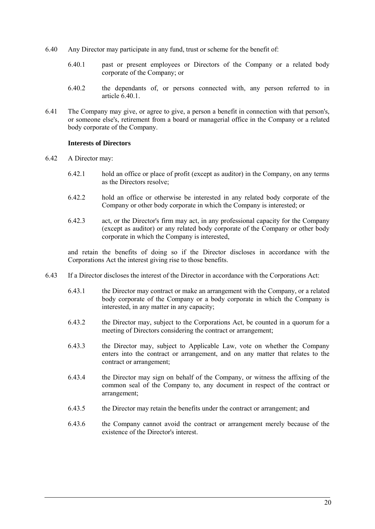- <span id="page-23-2"></span>6.40 Any Director may participate in any fund, trust or scheme for the benefit of:
	- 6.40.1 past or present employees or Directors of the Company or a related body corporate of the Company; or
	- 6.40.2 the dependants of, or persons connected with, any person referred to in article [6.40.1.](#page-23-2)
- <span id="page-23-1"></span>6.41 The Company may give, or agree to give, a person a benefit in connection with that person's, or someone else's, retirement from a board or managerial office in the Company or a related body corporate of the Company.

#### **Interests of Directors**

- <span id="page-23-3"></span><span id="page-23-0"></span>6.42 A Director may:
	- 6.42.1 hold an office or place of profit (except as auditor) in the Company, on any terms as the Directors resolve;
	- 6.42.2 hold an office or otherwise be interested in any related body corporate of the Company or other body corporate in which the Company is interested; or
	- 6.42.3 act, or the Director's firm may act, in any professional capacity for the Company (except as auditor) or any related body corporate of the Company or other body corporate in which the Company is interested,

and retain the benefits of doing so if the Director discloses in accordance with the Corporations Act the interest giving rise to those benefits.

- 6.43 If a Director discloses the interest of the Director in accordance with the Corporations Act:
	- 6.43.1 the Director may contract or make an arrangement with the Company, or a related body corporate of the Company or a body corporate in which the Company is interested, in any matter in any capacity;
	- 6.43.2 the Director may, subject to the Corporations Act, be counted in a quorum for a meeting of Directors considering the contract or arrangement;
	- 6.43.3 the Director may, subject to Applicable Law, vote on whether the Company enters into the contract or arrangement, and on any matter that relates to the contract or arrangement;
	- 6.43.4 the Director may sign on behalf of the Company, or witness the affixing of the common seal of the Company to, any document in respect of the contract or arrangement;
	- 6.43.5 the Director may retain the benefits under the contract or arrangement; and
	- 6.43.6 the Company cannot avoid the contract or arrangement merely because of the existence of the Director's interest.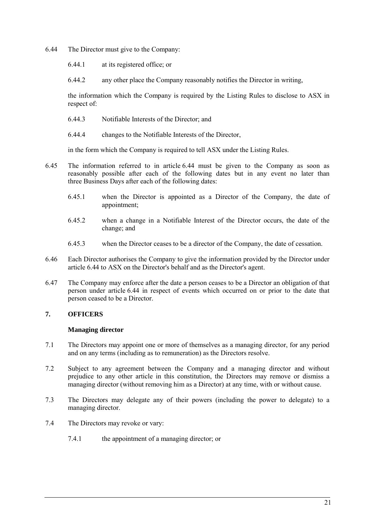- <span id="page-24-2"></span>6.44 The Director must give to the Company:
	- 6.44.1 at its registered office; or
	- 6.44.2 any other place the Company reasonably notifies the Director in writing,

the information which the Company is required by the Listing Rules to disclose to ASX in respect of:

- 6.44.3 Notifiable Interests of the Director; and
- 6.44.4 changes to the Notifiable Interests of the Director,

in the form which the Company is required to tell ASX under the Listing Rules.

- 6.45 The information referred to in article [6.44](#page-24-2) must be given to the Company as soon as reasonably possible after each of the following dates but in any event no later than three Business Days after each of the following dates:
	- 6.45.1 when the Director is appointed as a Director of the Company, the date of appointment;
	- 6.45.2 when a change in a Notifiable Interest of the Director occurs, the date of the change; and
	- 6.45.3 when the Director ceases to be a director of the Company, the date of cessation.
- 6.46 Each Director authorises the Company to give the information provided by the Director under article [6.44](#page-24-2) to ASX on the Director's behalf and as the Director's agent.
- <span id="page-24-3"></span>6.47 The Company may enforce after the date a person ceases to be a Director an obligation of that person under article [6.44](#page-24-2) in respect of events which occurred on or prior to the date that person ceased to be a Director.

# <span id="page-24-1"></span><span id="page-24-0"></span>**7. OFFICERS**

### **Managing director**

- 7.1 The Directors may appoint one or more of themselves as a managing director, for any period and on any terms (including as to remuneration) as the Directors resolve.
- 7.2 Subject to any agreement between the Company and a managing director and without prejudice to any other article in this constitution, the Directors may remove or dismiss a managing director (without removing him as a Director) at any time, with or without cause.
- 7.3 The Directors may delegate any of their powers (including the power to delegate) to a managing director.
- 7.4 The Directors may revoke or vary:
	- 7.4.1 the appointment of a managing director; or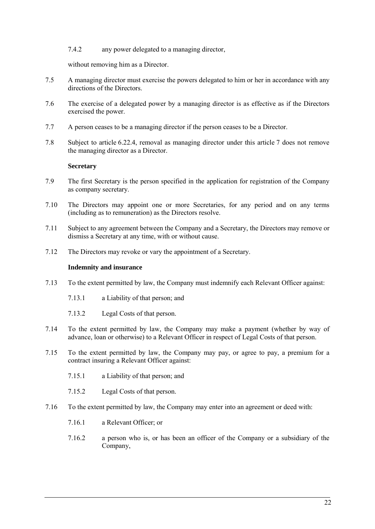7.4.2 any power delegated to a managing director,

without removing him as a Director.

- 7.5 A managing director must exercise the powers delegated to him or her in accordance with any directions of the Directors.
- 7.6 The exercise of a delegated power by a managing director is as effective as if the Directors exercised the power.
- 7.7 A person ceases to be a managing director if the person ceases to be a Director.
- 7.8 Subject to article [6.22.4,](#page-21-3) removal as managing director under this article [7](#page-24-0) does not remove the managing director as a Director.

# **Secretary**

- <span id="page-25-0"></span>7.9 The first Secretary is the person specified in the application for registration of the Company as company secretary.
- 7.10 The Directors may appoint one or more Secretaries, for any period and on any terms (including as to remuneration) as the Directors resolve.
- 7.11 Subject to any agreement between the Company and a Secretary, the Directors may remove or dismiss a Secretary at any time, with or without cause.
- <span id="page-25-1"></span>7.12 The Directors may revoke or vary the appointment of a Secretary.

### **Indemnity and insurance**

- 7.13 To the extent permitted by law, the Company must indemnify each Relevant Officer against:
	- 7.13.1 a Liability of that person; and
	- 7.13.2 Legal Costs of that person.
- 7.14 To the extent permitted by law, the Company may make a payment (whether by way of advance, loan or otherwise) to a Relevant Officer in respect of Legal Costs of that person.
- 7.15 To the extent permitted by law, the Company may pay, or agree to pay, a premium for a contract insuring a Relevant Officer against:
	- 7.15.1 a Liability of that person; and
	- 7.15.2 Legal Costs of that person.
- 7.16 To the extent permitted by law, the Company may enter into an agreement or deed with:
	- 7.16.1 a Relevant Officer; or
	- 7.16.2 a person who is, or has been an officer of the Company or a subsidiary of the Company,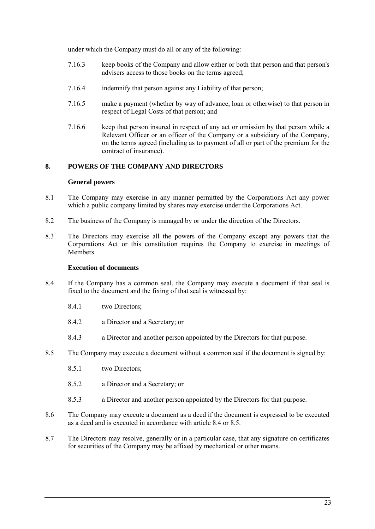under which the Company must do all or any of the following:

- 7.16.3 keep books of the Company and allow either or both that person and that person's advisers access to those books on the terms agreed;
- 7.16.4 indemnify that person against any Liability of that person;
- 7.16.5 make a payment (whether by way of advance, loan or otherwise) to that person in respect of Legal Costs of that person; and
- 7.16.6 keep that person insured in respect of any act or omission by that person while a Relevant Officer or an officer of the Company or a subsidiary of the Company, on the terms agreed (including as to payment of all or part of the premium for the contract of insurance).

# <span id="page-26-1"></span><span id="page-26-0"></span>**8. POWERS OF THE COMPANY AND DIRECTORS**

### **General powers**

- 8.1 The Company may exercise in any manner permitted by the Corporations Act any power which a public company limited by shares may exercise under the Corporations Act.
- 8.2 The business of the Company is managed by or under the direction of the Directors.
- 8.3 The Directors may exercise all the powers of the Company except any powers that the Corporations Act or this constitution requires the Company to exercise in meetings of Members.

### **Execution of documents**

- <span id="page-26-3"></span><span id="page-26-2"></span>8.4 If the Company has a common seal, the Company may execute a document if that seal is fixed to the document and the fixing of that seal is witnessed by:
	- 8.4.1 two Directors;
	- 8.4.2 a Director and a Secretary; or
	- 8.4.3 a Director and another person appointed by the Directors for that purpose.
- <span id="page-26-4"></span>8.5 The Company may execute a document without a common seal if the document is signed by:
	- 8.5.1 two Directors;
	- 8.5.2 a Director and a Secretary; or
	- 8.5.3 a Director and another person appointed by the Directors for that purpose.
- 8.6 The Company may execute a document as a deed if the document is expressed to be executed as a deed and is executed in accordance with article [8.4](#page-26-3) or [8.5.](#page-26-4)
- 8.7 The Directors may resolve, generally or in a particular case, that any signature on certificates for securities of the Company may be affixed by mechanical or other means.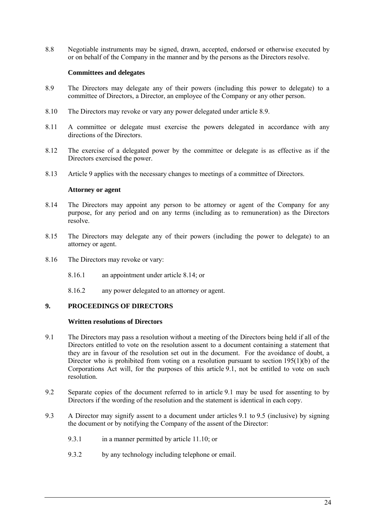8.8 Negotiable instruments may be signed, drawn, accepted, endorsed or otherwise executed by or on behalf of the Company in the manner and by the persons as the Directors resolve.

# **Committees and delegates**

- <span id="page-27-4"></span><span id="page-27-0"></span>8.9 The Directors may delegate any of their powers (including this power to delegate) to a committee of Directors, a Director, an employee of the Company or any other person.
- 8.10 The Directors may revoke or vary any power delegated under article [8.9.](#page-27-4)
- 8.11 A committee or delegate must exercise the powers delegated in accordance with any directions of the Directors.
- 8.12 The exercise of a delegated power by the committee or delegate is as effective as if the Directors exercised the power.
- <span id="page-27-1"></span>8.13 Article [9](#page-27-2) applies with the necessary changes to meetings of a committee of Directors.

### **Attorney or agent**

- <span id="page-27-5"></span>8.14 The Directors may appoint any person to be attorney or agent of the Company for any purpose, for any period and on any terms (including as to remuneration) as the Directors resolve.
- 8.15 The Directors may delegate any of their powers (including the power to delegate) to an attorney or agent.
- 8.16 The Directors may revoke or vary:
	- 8.16.1 an appointment under article [8.14;](#page-27-5) or
	- 8.16.2 any power delegated to an attorney or agent.

# <span id="page-27-2"></span>**9. PROCEEDINGS OF DIRECTORS**

### **Written resolutions of Directors**

- <span id="page-27-6"></span><span id="page-27-3"></span>9.1 The Directors may pass a resolution without a meeting of the Directors being held if all of the Directors entitled to vote on the resolution assent to a document containing a statement that they are in favour of the resolution set out in the document. For the avoidance of doubt, a Director who is prohibited from voting on a resolution pursuant to section  $195(1)(b)$  of the Corporations Act will, for the purposes of this article [9.1,](#page-27-6) not be entitled to vote on such resolution.
- 9.2 Separate copies of the document referred to in article [9.1](#page-27-6) may be used for assenting to by Directors if the wording of the resolution and the statement is identical in each copy.
- <span id="page-27-7"></span>9.3 A Director may signify assent to a document under articles [9.1](#page-27-6) to [9.5](#page-28-4) (inclusive) by signing the document or by notifying the Company of the assent of the Director:
	- 9.3.1 in a manner permitted by article [11.10;](#page-34-3) or
	- 9.3.2 by any technology including telephone or email.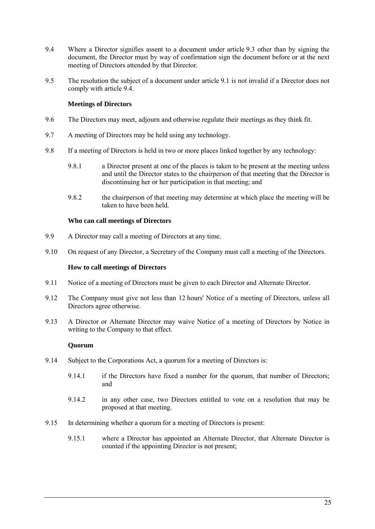- <span id="page-28-5"></span>9.4 Where a Director signifies assent to a document under article [9.3](#page-27-7) other than by signing the document, the Director must by way of confirmation sign the document before or at the next meeting of Directors attended by that Director.
- <span id="page-28-4"></span>9.5 The resolution the subject of a document under article [9.1](#page-27-6) is not invalid if a Director does not comply with article [9.4.](#page-28-5)

# **Meetings of Directors**

- <span id="page-28-0"></span>9.6 The Directors may meet, adjourn and otherwise regulate their meetings as they think fit.
- 9.7 A meeting of Directors may be held using any technology.
- 9.8 If a meeting of Directors is held in two or more places linked together by any technology:
	- 9.8.1 a Director present at one of the places is taken to be present at the meeting unless and until the Director states to the chairperson of that meeting that the Director is discontinuing her or her participation in that meeting; and
	- 9.8.2 the chairperson of that meeting may determine at which place the meeting will be taken to have been held.

### **Who can call meetings of Directors**

- <span id="page-28-1"></span>9.9 A Director may call a meeting of Directors at any time.
- <span id="page-28-2"></span>9.10 On request of any Director, a Secretary of the Company must call a meeting of the Directors.

### **How to call meetings of Directors**

- 9.11 Notice of a meeting of Directors must be given to each Director and Alternate Director.
- 9.12 The Company must give not less than 12 hours' Notice of a meeting of Directors, unless all Directors agree otherwise.
- 9.13 A Director or Alternate Director may waive Notice of a meeting of Directors by Notice in writing to the Company to that effect.

### **Quorum**

- <span id="page-28-3"></span>9.14 Subject to the Corporations Act, a quorum for a meeting of Directors is:
	- 9.14.1 if the Directors have fixed a number for the quorum, that number of Directors; and
	- 9.14.2 in any other case, two Directors entitled to vote on a resolution that may be proposed at that meeting.
- 9.15 In determining whether a quorum for a meeting of Directors is present:
	- 9.15.1 where a Director has appointed an Alternate Director, that Alternate Director is counted if the appointing Director is not present;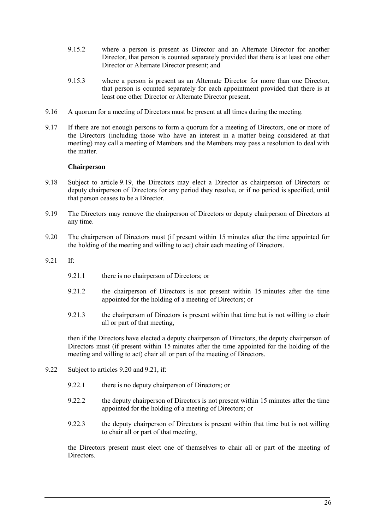- 9.15.2 where a person is present as Director and an Alternate Director for another Director, that person is counted separately provided that there is at least one other Director or Alternate Director present; and
- 9.15.3 where a person is present as an Alternate Director for more than one Director, that person is counted separately for each appointment provided that there is at least one other Director or Alternate Director present.
- 9.16 A quorum for a meeting of Directors must be present at all times during the meeting.
- 9.17 If there are not enough persons to form a quorum for a meeting of Directors, one or more of the Directors (including those who have an interest in a matter being considered at that meeting) may call a meeting of Members and the Members may pass a resolution to deal with the matter.

# **Chairperson**

- <span id="page-29-0"></span>9.18 Subject to article [9.19,](#page-29-1) the Directors may elect a Director as chairperson of Directors or deputy chairperson of Directors for any period they resolve, or if no period is specified, until that person ceases to be a Director.
- <span id="page-29-1"></span>9.19 The Directors may remove the chairperson of Directors or deputy chairperson of Directors at any time.
- <span id="page-29-2"></span>9.20 The chairperson of Directors must (if present within 15 minutes after the time appointed for the holding of the meeting and willing to act) chair each meeting of Directors.
- <span id="page-29-3"></span>9.21 If:
	- 9.21.1 there is no chairperson of Directors; or
	- 9.21.2 the chairperson of Directors is not present within 15 minutes after the time appointed for the holding of a meeting of Directors; or
	- 9.21.3 the chairperson of Directors is present within that time but is not willing to chair all or part of that meeting,

then if the Directors have elected a deputy chairperson of Directors, the deputy chairperson of Directors must (if present within 15 minutes after the time appointed for the holding of the meeting and willing to act) chair all or part of the meeting of Directors.

- 9.22 Subject to articles [9.20](#page-29-2) and [9.21,](#page-29-3) if:
	- 9.22.1 there is no deputy chairperson of Directors; or
	- 9.22.2 the deputy chairperson of Directors is not present within 15 minutes after the time appointed for the holding of a meeting of Directors; or
	- 9.22.3 the deputy chairperson of Directors is present within that time but is not willing to chair all or part of that meeting,

the Directors present must elect one of themselves to chair all or part of the meeting of Directors.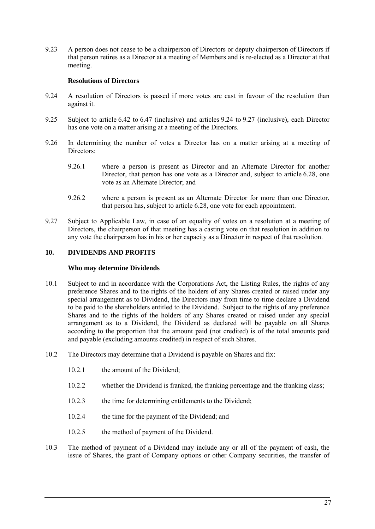9.23 A person does not cease to be a chairperson of Directors or deputy chairperson of Directors if that person retires as a Director at a meeting of Members and is re-elected as a Director at that meeting.

# **Resolutions of Directors**

- <span id="page-30-3"></span><span id="page-30-0"></span>9.24 A resolution of Directors is passed if more votes are cast in favour of the resolution than against it.
- 9.25 Subject to article [6.42](#page-23-3) to [6.47](#page-24-3) (inclusive) and articles [9.24](#page-30-3) to [9.27](#page-30-4) (inclusive), each Director has one vote on a matter arising at a meeting of the Directors.
- 9.26 In determining the number of votes a Director has on a matter arising at a meeting of Directors:
	- 9.26.1 where a person is present as Director and an Alternate Director for another Director, that person has one vote as a Director and, subject to article [6.28,](#page-21-4) one vote as an Alternate Director; and
	- 9.26.2 where a person is present as an Alternate Director for more than one Director, that person has, subject to article [6.28,](#page-21-4) one vote for each appointment.
- <span id="page-30-4"></span>9.27 Subject to Applicable Law, in case of an equality of votes on a resolution at a meeting of Directors, the chairperson of that meeting has a casting vote on that resolution in addition to any vote the chairperson has in his or her capacity as a Director in respect of that resolution.

# <span id="page-30-2"></span><span id="page-30-1"></span>**10. DIVIDENDS AND PROFITS**

### **Who may determine Dividends**

- 10.1 Subject to and in accordance with the Corporations Act, the Listing Rules, the rights of any preference Shares and to the rights of the holders of any Shares created or raised under any special arrangement as to Dividend, the Directors may from time to time declare a Dividend to be paid to the shareholders entitled to the Dividend. Subject to the rights of any preference Shares and to the rights of the holders of any Shares created or raised under any special arrangement as to a Dividend, the Dividend as declared will be payable on all Shares according to the proportion that the amount paid (not credited) is of the total amounts paid and payable (excluding amounts credited) in respect of such Shares.
- <span id="page-30-5"></span>10.2 The Directors may determine that a Dividend is payable on Shares and fix:
	- 10.2.1 the amount of the Dividend;
	- 10.2.2 whether the Dividend is franked, the franking percentage and the franking class;
	- 10.2.3 the time for determining entitlements to the Dividend;
	- 10.2.4 the time for the payment of the Dividend; and
	- 10.2.5 the method of payment of the Dividend.
- 10.3 The method of payment of a Dividend may include any or all of the payment of cash, the issue of Shares, the grant of Company options or other Company securities, the transfer of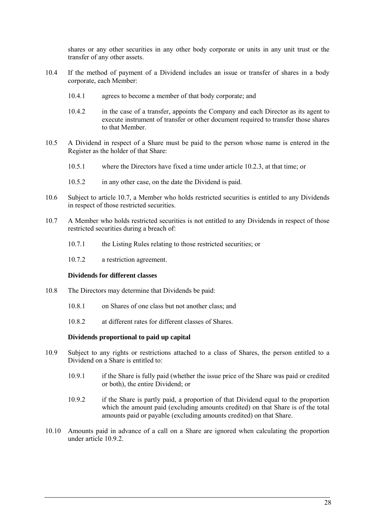shares or any other securities in any other body corporate or units in any unit trust or the transfer of any other assets.

- 10.4 If the method of payment of a Dividend includes an issue or transfer of shares in a body corporate, each Member:
	- 10.4.1 agrees to become a member of that body corporate; and
	- 10.4.2 in the case of a transfer, appoints the Company and each Director as its agent to execute instrument of transfer or other document required to transfer those shares to that Member.
- 10.5 A Dividend in respect of a Share must be paid to the person whose name is entered in the Register as the holder of that Share:
	- 10.5.1 where the Directors have fixed a time under article [10.2.3,](#page-30-5) at that time; or
	- 10.5.2 in any other case, on the date the Dividend is paid.
- 10.6 Subject to article [10.7,](#page-31-2) a Member who holds restricted securities is entitled to any Dividends in respect of those restricted securities.
- <span id="page-31-2"></span>10.7 A Member who holds restricted securities is not entitled to any Dividends in respect of those restricted securities during a breach of:
	- 10.7.1 the Listing Rules relating to those restricted securities; or
	- 10.7.2 a restriction agreement.

### **Dividends for different classes**

- <span id="page-31-0"></span>10.8 The Directors may determine that Dividends be paid:
	- 10.8.1 on Shares of one class but not another class; and
	- 10.8.2 at different rates for different classes of Shares.

#### **Dividends proportional to paid up capital**

- <span id="page-31-1"></span>10.9 Subject to any rights or restrictions attached to a class of Shares, the person entitled to a Dividend on a Share is entitled to:
	- 10.9.1 if the Share is fully paid (whether the issue price of the Share was paid or credited or both), the entire Dividend; or
	- 10.9.2 if the Share is partly paid, a proportion of that Dividend equal to the proportion which the amount paid (excluding amounts credited) on that Share is of the total amounts paid or payable (excluding amounts credited) on that Share.
- <span id="page-31-3"></span>10.10 Amounts paid in advance of a call on a Share are ignored when calculating the proportion under article [10.9.2.](#page-31-3)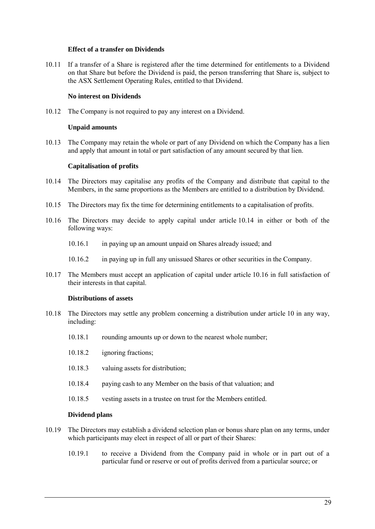### **Effect of a transfer on Dividends**

<span id="page-32-0"></span>10.11 If a transfer of a Share is registered after the time determined for entitlements to a Dividend on that Share but before the Dividend is paid, the person transferring that Share is, subject to the ASX Settlement Operating Rules, entitled to that Dividend.

### **No interest on Dividends**

<span id="page-32-2"></span><span id="page-32-1"></span>10.12 The Company is not required to pay any interest on a Dividend.

### **Unpaid amounts**

10.13 The Company may retain the whole or part of any Dividend on which the Company has a lien and apply that amount in total or part satisfaction of any amount secured by that lien.

### **Capitalisation of profits**

- <span id="page-32-6"></span><span id="page-32-3"></span>10.14 The Directors may capitalise any profits of the Company and distribute that capital to the Members, in the same proportions as the Members are entitled to a distribution by Dividend.
- 10.15 The Directors may fix the time for determining entitlements to a capitalisation of profits.
- <span id="page-32-7"></span>10.16 The Directors may decide to apply capital under article [10.14](#page-32-6) in either or both of the following ways:
	- 10.16.1 in paying up an amount unpaid on Shares already issued; and
	- 10.16.2 in paying up in full any unissued Shares or other securities in the Company.
- 10.17 The Members must accept an application of capital under article [10.16](#page-32-7) in full satisfaction of their interests in that capital.

#### **Distributions of assets**

- <span id="page-32-4"></span>10.18 The Directors may settle any problem concerning a distribution under article [10](#page-30-1) in any way, including:
	- 10.18.1 rounding amounts up or down to the nearest whole number;
	- 10.18.2 ignoring fractions;
	- 10.18.3 valuing assets for distribution;
	- 10.18.4 paying cash to any Member on the basis of that valuation; and
	- 10.18.5 vesting assets in a trustee on trust for the Members entitled.

### **Dividend plans**

- <span id="page-32-8"></span><span id="page-32-5"></span>10.19 The Directors may establish a dividend selection plan or bonus share plan on any terms, under which participants may elect in respect of all or part of their Shares:
	- 10.19.1 to receive a Dividend from the Company paid in whole or in part out of a particular fund or reserve or out of profits derived from a particular source; or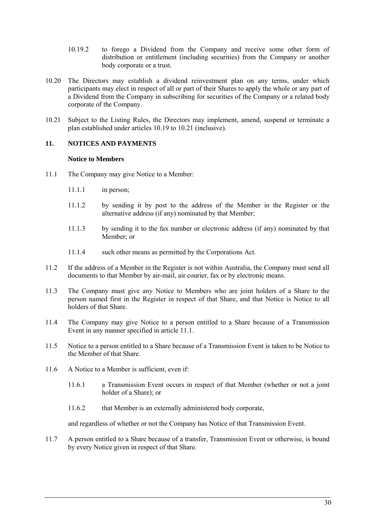- 10.19.2 to forego a Dividend from the Company and receive some other form of distribution or entitlement (including securities) from the Company or another body corporate or a trust.
- 10.20 The Directors may establish a dividend reinvestment plan on any terms, under which participants may elect in respect of all or part of their Shares to apply the whole or any part of a Dividend from the Company in subscribing for securities of the Company or a related body corporate of the Company.
- <span id="page-33-2"></span>10.21 Subject to the Listing Rules, the Directors may implement, amend, suspend or terminate a plan established under articles [10.19](#page-32-8) to [10.21](#page-33-2) (inclusive).

# <span id="page-33-1"></span><span id="page-33-0"></span>**11. NOTICES AND PAYMENTS**

### **Notice to Members**

- <span id="page-33-3"></span>11.1 The Company may give Notice to a Member:
	- 11.1.1 in person;
	- 11.1.2 by sending it by post to the address of the Member in the Register or the alternative address (if any) nominated by that Member;
	- 11.1.3 by sending it to the fax number or electronic address (if any) nominated by that Member; or
	- 11.1.4 such other means as permitted by the Corporations Act.
- 11.2 If the address of a Member in the Register is not within Australia, the Company must send all documents to that Member by air-mail, air courier, fax or by electronic means.
- 11.3 The Company must give any Notice to Members who are joint holders of a Share to the person named first in the Register in respect of that Share, and that Notice is Notice to all holders of that Share.
- 11.4 The Company may give Notice to a person entitled to a Share because of a Transmission Event in any manner specified in article [11.1.](#page-33-3)
- 11.5 Notice to a person entitled to a Share because of a Transmission Event is taken to be Notice to the Member of that Share.
- 11.6 A Notice to a Member is sufficient, even if:
	- 11.6.1 a Transmission Event occurs in respect of that Member (whether or not a joint holder of a Share); or
	- 11.6.2 that Member is an externally administered body corporate,

and regardless of whether or not the Company has Notice of that Transmission Event.

11.7 A person entitled to a Share because of a transfer, Transmission Event or otherwise, is bound by every Notice given in respect of that Share.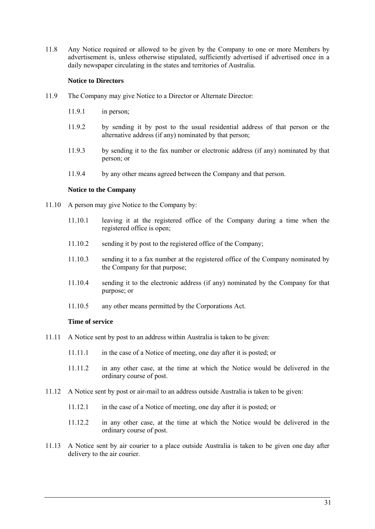11.8 Any Notice required or allowed to be given by the Company to one or more Members by advertisement is, unless otherwise stipulated, sufficiently advertised if advertised once in a daily newspaper circulating in the states and territories of Australia.

# **Notice to Directors**

- <span id="page-34-0"></span>11.9 The Company may give Notice to a Director or Alternate Director:
	- 11.9.1 in person;
	- 11.9.2 by sending it by post to the usual residential address of that person or the alternative address (if any) nominated by that person;
	- 11.9.3 by sending it to the fax number or electronic address (if any) nominated by that person; or
	- 11.9.4 by any other means agreed between the Company and that person.

### **Notice to the Company**

- <span id="page-34-3"></span><span id="page-34-1"></span>11.10 A person may give Notice to the Company by:
	- 11.10.1 leaving it at the registered office of the Company during a time when the registered office is open;
	- 11.10.2 sending it by post to the registered office of the Company;
	- 11.10.3 sending it to a fax number at the registered office of the Company nominated by the Company for that purpose;
	- 11.10.4 sending it to the electronic address (if any) nominated by the Company for that purpose; or
	- 11.10.5 any other means permitted by the Corporations Act.

### **Time of service**

- <span id="page-34-2"></span>11.11 A Notice sent by post to an address within Australia is taken to be given:
	- 11.11.1 in the case of a Notice of meeting, one day after it is posted; or
	- 11.11.2 in any other case, at the time at which the Notice would be delivered in the ordinary course of post.
- 11.12 A Notice sent by post or air-mail to an address outside Australia is taken to be given:
	- 11.12.1 in the case of a Notice of meeting, one day after it is posted; or
	- 11.12.2 in any other case, at the time at which the Notice would be delivered in the ordinary course of post.
- 11.13 A Notice sent by air courier to a place outside Australia is taken to be given one day after delivery to the air courier.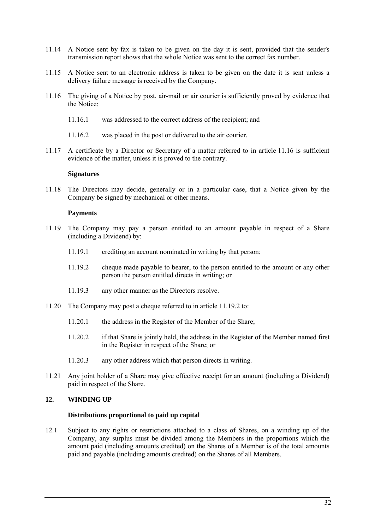- 11.14 A Notice sent by fax is taken to be given on the day it is sent, provided that the sender's transmission report shows that the whole Notice was sent to the correct fax number.
- 11.15 A Notice sent to an electronic address is taken to be given on the date it is sent unless a delivery failure message is received by the Company.
- <span id="page-35-5"></span>11.16 The giving of a Notice by post, air-mail or air courier is sufficiently proved by evidence that the Notice:
	- 11.16.1 was addressed to the correct address of the recipient; and
	- 11.16.2 was placed in the post or delivered to the air courier.
- 11.17 A certificate by a Director or Secretary of a matter referred to in article [11.16](#page-35-5) is sufficient evidence of the matter, unless it is proved to the contrary.

#### **Signatures**

<span id="page-35-0"></span>11.18 The Directors may decide, generally or in a particular case, that a Notice given by the Company be signed by mechanical or other means.

### **Payments**

- <span id="page-35-4"></span><span id="page-35-1"></span>11.19 The Company may pay a person entitled to an amount payable in respect of a Share (including a Dividend) by:
	- 11.19.1 crediting an account nominated in writing by that person;
	- 11.19.2 cheque made payable to bearer, to the person entitled to the amount or any other person the person entitled directs in writing; or
	- 11.19.3 any other manner as the Directors resolve.
- 11.20 The Company may post a cheque referred to in article [11.19.2](#page-35-4) to:
	- 11.20.1 the address in the Register of the Member of the Share;
	- 11.20.2 if that Share is jointly held, the address in the Register of the Member named first in the Register in respect of the Share; or
	- 11.20.3 any other address which that person directs in writing.
- 11.21 Any joint holder of a Share may give effective receipt for an amount (including a Dividend) paid in respect of the Share.

### <span id="page-35-3"></span><span id="page-35-2"></span>**12. WINDING UP**

#### **Distributions proportional to paid up capital**

12.1 Subject to any rights or restrictions attached to a class of Shares, on a winding up of the Company, any surplus must be divided among the Members in the proportions which the amount paid (including amounts credited) on the Shares of a Member is of the total amounts paid and payable (including amounts credited) on the Shares of all Members.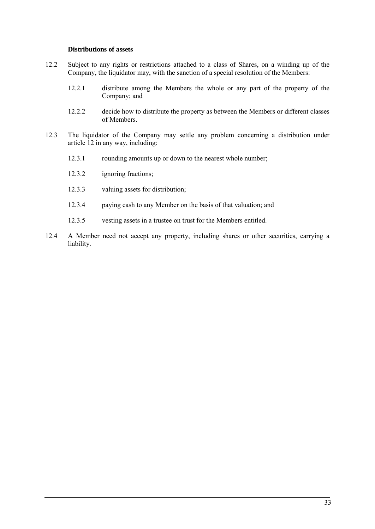### **Distributions of assets**

- <span id="page-36-0"></span>12.2 Subject to any rights or restrictions attached to a class of Shares, on a winding up of the Company, the liquidator may, with the sanction of a special resolution of the Members:
	- 12.2.1 distribute among the Members the whole or any part of the property of the Company; and
	- 12.2.2 decide how to distribute the property as between the Members or different classes of Members.
- 12.3 The liquidator of the Company may settle any problem concerning a distribution under article [12](#page-35-2) in any way, including:
	- 12.3.1 rounding amounts up or down to the nearest whole number;
	- 12.3.2 ignoring fractions;
	- 12.3.3 valuing assets for distribution;
	- 12.3.4 paying cash to any Member on the basis of that valuation; and
	- 12.3.5 vesting assets in a trustee on trust for the Members entitled.
- 12.4 A Member need not accept any property, including shares or other securities, carrying a liability.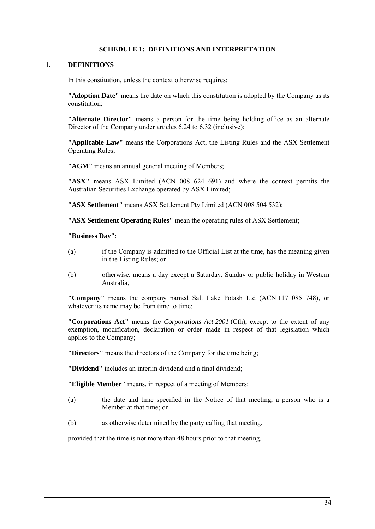## **SCHEDULE 1: DEFINITIONS AND INTERPRETATION**

## <span id="page-37-0"></span>**1. DEFINITIONS**

In this constitution, unless the context otherwise requires:

**"Adoption Date"** means the date on which this constitution is adopted by the Company as its constitution;

**"Alternate Director"** means a person for the time being holding office as an alternate Director of the Company under articles [6.24](#page-21-2) to [6.32](#page-22-4) (inclusive);

**"Applicable Law"** means the Corporations Act, the Listing Rules and the ASX Settlement Operating Rules;

**"AGM"** means an annual general meeting of Members;

**"ASX"** means ASX Limited (ACN 008 624 691) and where the context permits the Australian Securities Exchange operated by ASX Limited;

**"ASX Settlement"** means ASX Settlement Pty Limited (ACN 008 504 532);

**"ASX Settlement Operating Rules"** mean the operating rules of ASX Settlement;

**"Business Day"**:

- (a) if the Company is admitted to the Official List at the time, has the meaning given in the Listing Rules; or
- (b) otherwise, means a day except a Saturday, Sunday or public holiday in Western Australia;

**"Company"** means the company named Salt Lake Potash Ltd (ACN 117 085 748), or whatever its name may be from time to time;

**"Corporations Act"** means the *Corporations Act 2001* (Cth), except to the extent of any exemption, modification, declaration or order made in respect of that legislation which applies to the Company;

**"Directors"** means the directors of the Company for the time being;

**"Dividend"** includes an interim dividend and a final dividend;

**"Eligible Member"** means, in respect of a meeting of Members:

- (a) the date and time specified in the Notice of that meeting, a person who is a Member at that time; or
- (b) as otherwise determined by the party calling that meeting,

provided that the time is not more than 48 hours prior to that meeting.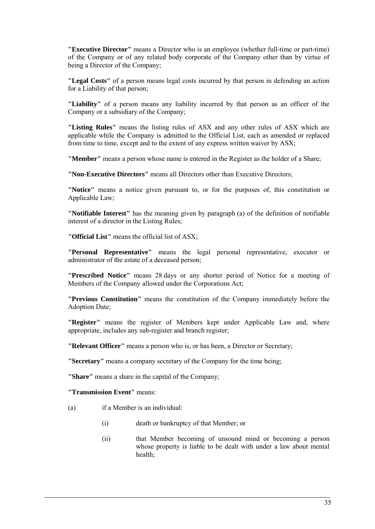**"Executive Director"** means a Director who is an employee (whether full-time or part-time) of the Company or of any related body corporate of the Company other than by virtue of being a Director of the Company;

**"Legal Costs"** of a person means legal costs incurred by that person in defending an action for a Liability of that person;

**"Liability"** of a person means any liability incurred by that person as an officer of the Company or a subsidiary of the Company;

**"Listing Rules"** means the listing rules of ASX and any other rules of ASX which are applicable while the Company is admitted to the Official List, each as amended or replaced from time to time, except and to the extent of any express written waiver by ASX;

**"Member"** means a person whose name is entered in the Register as the holder of a Share;

**"Non-Executive Directors"** means all Directors other than Executive Directors;

**"Notice"** means a notice given pursuant to, or for the purposes of, this constitution or Applicable Law;

**"Notifiable Interest"** has the meaning given by paragraph (a) of the definition of notifiable interest of a director in the Listing Rules;

**"Official List"** means the official list of ASX;

**"Personal Representative"** means the legal personal representative, executor or administrator of the estate of a deceased person;

**"Prescribed Notice"** means 28 days or any shorter period of Notice for a meeting of Members of the Company allowed under the Corporations Act;

**"Previous Constitution"** means the constitution of the Company immediately before the Adoption Date;

**"Register"** means the register of Members kept under Applicable Law and, where appropriate, includes any sub-register and branch register;

**"Relevant Officer"** means a person who is, or has been, a Director or Secretary;

**"Secretary"** means a company secretary of the Company for the time being;

**"Share"** means a share in the capital of the Company;

**"Transmission Event"** means:

(a) if a Member is an individual:

- (i) death or bankruptcy of that Member; or
- (ii) that Member becoming of unsound mind or becoming a person whose property is liable to be dealt with under a law about mental health;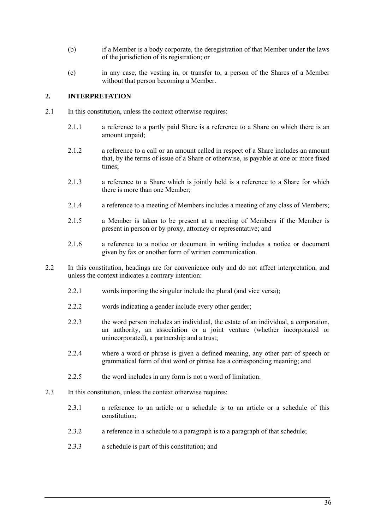- (b) if a Member is a body corporate, the deregistration of that Member under the laws of the jurisdiction of its registration; or
- (c) in any case, the vesting in, or transfer to, a person of the Shares of a Member without that person becoming a Member.

# **2. INTERPRETATION**

- 2.1 In this constitution, unless the context otherwise requires:
	- 2.1.1 a reference to a partly paid Share is a reference to a Share on which there is an amount unpaid;
	- 2.1.2 a reference to a call or an amount called in respect of a Share includes an amount that, by the terms of issue of a Share or otherwise, is payable at one or more fixed times;
	- 2.1.3 a reference to a Share which is jointly held is a reference to a Share for which there is more than one Member;
	- 2.1.4 a reference to a meeting of Members includes a meeting of any class of Members;
	- 2.1.5 a Member is taken to be present at a meeting of Members if the Member is present in person or by proxy, attorney or representative; and
	- 2.1.6 a reference to a notice or document in writing includes a notice or document given by fax or another form of written communication.
- 2.2 In this constitution, headings are for convenience only and do not affect interpretation, and unless the context indicates a contrary intention:
	- 2.2.1 words importing the singular include the plural (and vice versa);
	- 2.2.2 words indicating a gender include every other gender;
	- 2.2.3 the word person includes an individual, the estate of an individual, a corporation, an authority, an association or a joint venture (whether incorporated or unincorporated), a partnership and a trust;
	- 2.2.4 where a word or phrase is given a defined meaning, any other part of speech or grammatical form of that word or phrase has a corresponding meaning; and
	- 2.2.5 the word includes in any form is not a word of limitation.
- 2.3 In this constitution, unless the context otherwise requires:
	- 2.3.1 a reference to an article or a schedule is to an article or a schedule of this constitution;
	- 2.3.2 a reference in a schedule to a paragraph is to a paragraph of that schedule;
	- 2.3.3 a schedule is part of this constitution; and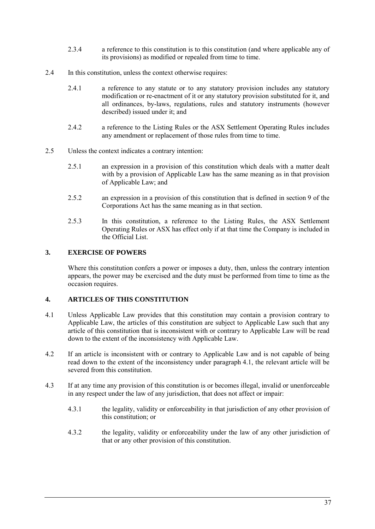- 2.3.4 a reference to this constitution is to this constitution (and where applicable any of its provisions) as modified or repealed from time to time.
- 2.4 In this constitution, unless the context otherwise requires:
	- 2.4.1 a reference to any statute or to any statutory provision includes any statutory modification or re-enactment of it or any statutory provision substituted for it, and all ordinances, by-laws, regulations, rules and statutory instruments (however described) issued under it; and
	- 2.4.2 a reference to the Listing Rules or the ASX Settlement Operating Rules includes any amendment or replacement of those rules from time to time.
- 2.5 Unless the context indicates a contrary intention:
	- 2.5.1 an expression in a provision of this constitution which deals with a matter dealt with by a provision of Applicable Law has the same meaning as in that provision of Applicable Law; and
	- 2.5.2 an expression in a provision of this constitution that is defined in section 9 of the Corporations Act has the same meaning as in that section.
	- 2.5.3 In this constitution, a reference to the Listing Rules, the ASX Settlement Operating Rules or ASX has effect only if at that time the Company is included in the Official List.

# **3. EXERCISE OF POWERS**

Where this constitution confers a power or imposes a duty, then, unless the contrary intention appears, the power may be exercised and the duty must be performed from time to time as the occasion requires.

# **4. ARTICLES OF THIS CONSTITUTION**

- <span id="page-40-0"></span>4.1 Unless Applicable Law provides that this constitution may contain a provision contrary to Applicable Law, the articles of this constitution are subject to Applicable Law such that any article of this constitution that is inconsistent with or contrary to Applicable Law will be read down to the extent of the inconsistency with Applicable Law.
- 4.2 If an article is inconsistent with or contrary to Applicable Law and is not capable of being read down to the extent of the inconsistency under paragraph [4.1,](#page-40-0) the relevant article will be severed from this constitution.
- 4.3 If at any time any provision of this constitution is or becomes illegal, invalid or unenforceable in any respect under the law of any jurisdiction, that does not affect or impair:
	- 4.3.1 the legality, validity or enforceability in that jurisdiction of any other provision of this constitution; or
	- 4.3.2 the legality, validity or enforceability under the law of any other jurisdiction of that or any other provision of this constitution.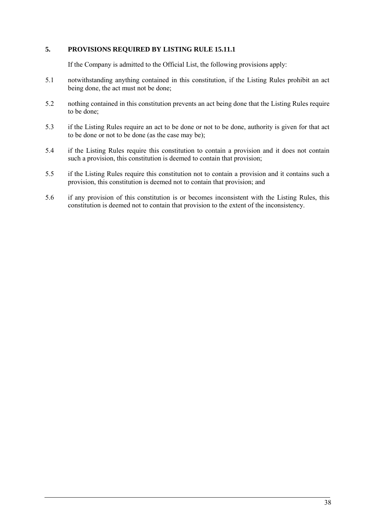# **5. PROVISIONS REQUIRED BY LISTING RULE 15.11.1**

If the Company is admitted to the Official List, the following provisions apply:

- 5.1 notwithstanding anything contained in this constitution, if the Listing Rules prohibit an act being done, the act must not be done;
- 5.2 nothing contained in this constitution prevents an act being done that the Listing Rules require to be done;
- 5.3 if the Listing Rules require an act to be done or not to be done, authority is given for that act to be done or not to be done (as the case may be);
- 5.4 if the Listing Rules require this constitution to contain a provision and it does not contain such a provision, this constitution is deemed to contain that provision;
- 5.5 if the Listing Rules require this constitution not to contain a provision and it contains such a provision, this constitution is deemed not to contain that provision; and
- 5.6 if any provision of this constitution is or becomes inconsistent with the Listing Rules, this constitution is deemed not to contain that provision to the extent of the inconsistency.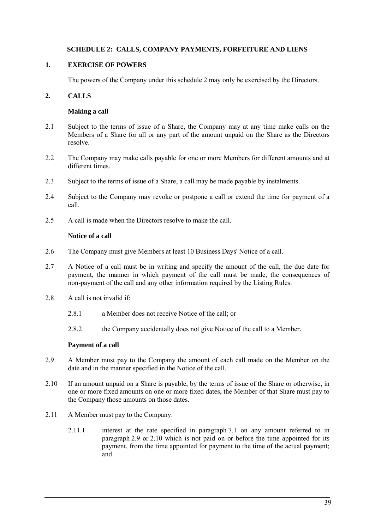# **SCHEDULE 2: CALLS, COMPANY PAYMENTS, FORFEITURE AND LIENS**

# <span id="page-42-0"></span>**1. EXERCISE OF POWERS**

The powers of the Company under this schedul[e 2](#page-42-0) may only be exercised by the Directors.

# <span id="page-42-5"></span>**2. CALLS**

## **Making a call**

- 2.1 Subject to the terms of issue of a Share, the Company may at any time make calls on the Members of a Share for all or any part of the amount unpaid on the Share as the Directors resolve.
- 2.2 The Company may make calls payable for one or more Members for different amounts and at different times.
- <span id="page-42-1"></span>2.3 Subject to the terms of issue of a Share, a call may be made payable by instalments.
- 2.4 Subject to the Company may revoke or postpone a call or extend the time for payment of a call.
- 2.5 A call is made when the Directors resolve to make the call.

# **Notice of a call**

- 2.6 The Company must give Members at least 10 Business Days' Notice of a call.
- 2.7 A Notice of a call must be in writing and specify the amount of the call, the due date for payment, the manner in which payment of the call must be made, the consequences of non-payment of the call and any other information required by the Listing Rules.
- 2.8 A call is not invalid if:
	- 2.8.1 a Member does not receive Notice of the call; or
	- 2.8.2 the Company accidentally does not give Notice of the call to a Member.

# **Payment of a call**

- <span id="page-42-2"></span>2.9 A Member must pay to the Company the amount of each call made on the Member on the date and in the manner specified in the Notice of the call.
- <span id="page-42-3"></span>2.10 If an amount unpaid on a Share is payable, by the terms of issue of the Share or otherwise, in one or more fixed amounts on one or more fixed dates, the Member of that Share must pay to the Company those amounts on those dates.
- <span id="page-42-4"></span>2.11 A Member must pay to the Company:
	- 2.11.1 interest at the rate specified in paragraph [7.1](#page-48-0) on any amount referred to in paragraph [2.9](#page-42-2) or [2.10](#page-42-3) which is not paid on or before the time appointed for its payment, from the time appointed for payment to the time of the actual payment; and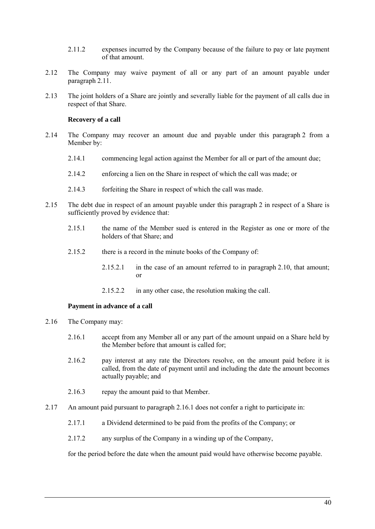- 2.11.2 expenses incurred by the Company because of the failure to pay or late payment of that amount.
- 2.12 The Company may waive payment of all or any part of an amount payable under paragraph [2.11.](#page-42-4)
- 2.13 The joint holders of a Share are jointly and severally liable for the payment of all calls due in respect of that Share.

#### **Recovery of a call**

- 2.14 The Company may recover an amount due and payable under this paragraph [2](#page-42-5) from a Member by:
	- 2.14.1 commencing legal action against the Member for all or part of the amount due;
	- 2.14.2 enforcing a lien on the Share in respect of which the call was made; or
	- 2.14.3 forfeiting the Share in respect of which the call was made.
- 2.15 The debt due in respect of an amount payable under this paragraph [2](#page-42-5) in respect of a Share is sufficiently proved by evidence that:
	- 2.15.1 the name of the Member sued is entered in the Register as one or more of the holders of that Share; and
	- 2.15.2 there is a record in the minute books of the Company of:
		- 2.15.2.1 in the case of an amount referred to in paragraph [2.10,](#page-42-3) that amount; or
		- 2.15.2.2 in any other case, the resolution making the call.

### **Payment in advance of a call**

- <span id="page-43-0"></span>2.16 The Company may:
	- 2.16.1 accept from any Member all or any part of the amount unpaid on a Share held by the Member before that amount is called for;
	- 2.16.2 pay interest at any rate the Directors resolve, on the amount paid before it is called, from the date of payment until and including the date the amount becomes actually payable; and
	- 2.16.3 repay the amount paid to that Member.
- 2.17 An amount paid pursuant to paragraph [2.16.1](#page-43-0) does not confer a right to participate in:
	- 2.17.1 a Dividend determined to be paid from the profits of the Company; or
	- 2.17.2 any surplus of the Company in a winding up of the Company,

for the period before the date when the amount paid would have otherwise become payable.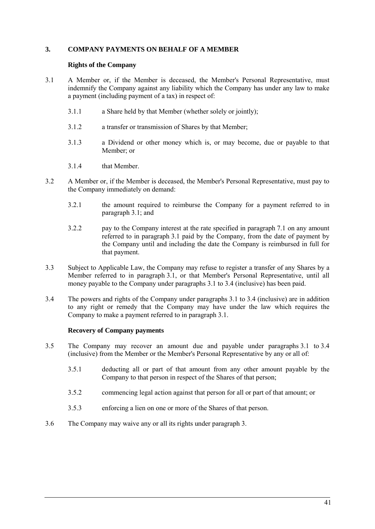# <span id="page-44-2"></span>**3. COMPANY PAYMENTS ON BEHALF OF A MEMBER**

### **Rights of the Company**

- <span id="page-44-0"></span>3.1 A Member or, if the Member is deceased, the Member's Personal Representative, must indemnify the Company against any liability which the Company has under any law to make a payment (including payment of a tax) in respect of:
	- 3.1.1 a Share held by that Member (whether solely or jointly);
	- 3.1.2 a transfer or transmission of Shares by that Member;
	- 3.1.3 a Dividend or other money which is, or may become, due or payable to that Member; or
	- 3.1.4 that Member.
- 3.2 A Member or, if the Member is deceased, the Member's Personal Representative, must pay to the Company immediately on demand:
	- 3.2.1 the amount required to reimburse the Company for a payment referred to in paragraph [3.1;](#page-44-0) and
	- 3.2.2 pay to the Company interest at the rate specified in paragraph [7.1](#page-48-0) on any amount referred to in paragraph [3.1](#page-44-0) paid by the Company, from the date of payment by the Company until and including the date the Company is reimbursed in full for that payment.
- 3.3 Subject to Applicable Law, the Company may refuse to register a transfer of any Shares by a Member referred to in paragraph [3.1,](#page-44-0) or that Member's Personal Representative, until all money payable to the Company under paragraphs [3.1](#page-44-0) to [3.4](#page-44-1) (inclusive) has been paid.
- <span id="page-44-1"></span>3.4 The powers and rights of the Company under paragraphs [3.1](#page-44-0) to [3.4](#page-44-1) (inclusive) are in addition to any right or remedy that the Company may have under the law which requires the Company to make a payment referred to in paragraph [3.1.](#page-44-0)

### **Recovery of Company payments**

- 3.5 The Company may recover an amount due and payable under paragraphs [3.1](#page-44-0) to [3.4](#page-44-1) (inclusive) from the Member or the Member's Personal Representative by any or all of:
	- 3.5.1 deducting all or part of that amount from any other amount payable by the Company to that person in respect of the Shares of that person;
	- 3.5.2 commencing legal action against that person for all or part of that amount; or
	- 3.5.3 enforcing a lien on one or more of the Shares of that person.
- 3.6 The Company may waive any or all its rights under paragraph [3.](#page-44-2)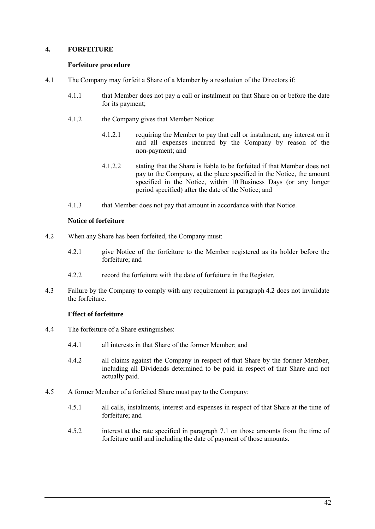# <span id="page-45-1"></span>**4. FORFEITURE**

## **Forfeiture procedure**

- 4.1 The Company may forfeit a Share of a Member by a resolution of the Directors if:
	- 4.1.1 that Member does not pay a call or instalment on that Share on or before the date for its payment;
	- 4.1.2 the Company gives that Member Notice:
		- 4.1.2.1 requiring the Member to pay that call or instalment, any interest on it and all expenses incurred by the Company by reason of the non-payment; and
		- 4.1.2.2 stating that the Share is liable to be forfeited if that Member does not pay to the Company, at the place specified in the Notice, the amount specified in the Notice, within 10 Business Days (or any longer period specified) after the date of the Notice; and
	- 4.1.3 that Member does not pay that amount in accordance with that Notice.

# **Notice of forfeiture**

- <span id="page-45-0"></span>4.2 When any Share has been forfeited, the Company must:
	- 4.2.1 give Notice of the forfeiture to the Member registered as its holder before the forfeiture; and
	- 4.2.2 record the forfeiture with the date of forfeiture in the Register.
- 4.3 Failure by the Company to comply with any requirement in paragraph [4.2](#page-45-0) does not invalidate the forfeiture.

# **Effect of forfeiture**

- 4.4 The forfeiture of a Share extinguishes:
	- 4.4.1 all interests in that Share of the former Member; and
	- 4.4.2 all claims against the Company in respect of that Share by the former Member, including all Dividends determined to be paid in respect of that Share and not actually paid.
- 4.5 A former Member of a forfeited Share must pay to the Company:
	- 4.5.1 all calls, instalments, interest and expenses in respect of that Share at the time of forfeiture; and
	- 4.5.2 interest at the rate specified in paragraph 7.1 on those amounts from the time of forfeiture until and including the date of payment of those amounts.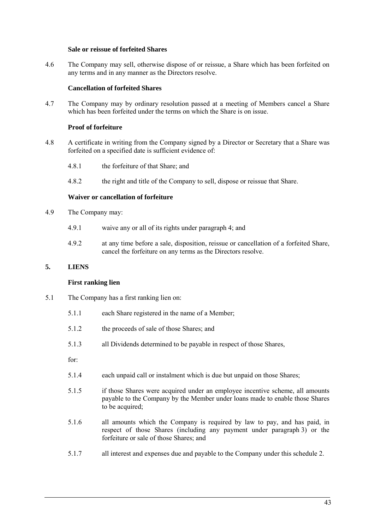### **Sale or reissue of forfeited Shares**

4.6 The Company may sell, otherwise dispose of or reissue, a Share which has been forfeited on any terms and in any manner as the Directors resolve.

### **Cancellation of forfeited Shares**

4.7 The Company may by ordinary resolution passed at a meeting of Members cancel a Share which has been forfeited under the terms on which the Share is on issue.

## **Proof of forfeiture**

- 4.8 A certificate in writing from the Company signed by a Director or Secretary that a Share was forfeited on a specified date is sufficient evidence of:
	- 4.8.1 the forfeiture of that Share; and
	- 4.8.2 the right and title of the Company to sell, dispose or reissue that Share.

## **Waiver or cancellation of forfeiture**

- 4.9 The Company may:
	- 4.9.1 waive any or all of its rights under paragrap[h 4;](#page-45-1) and
	- 4.9.2 at any time before a sale, disposition, reissue or cancellation of a forfeited Share, cancel the forfeiture on any terms as the Directors resolve.

## <span id="page-46-0"></span>**5. LIENS**

### **First ranking lien**

- 5.1 The Company has a first ranking lien on:
	- 5.1.1 each Share registered in the name of a Member;
	- 5.1.2 the proceeds of sale of those Shares; and
	- 5.1.3 all Dividends determined to be payable in respect of those Shares,

for:

- 5.1.4 each unpaid call or instalment which is due but unpaid on those Shares;
- 5.1.5 if those Shares were acquired under an employee incentive scheme, all amounts payable to the Company by the Member under loans made to enable those Shares to be acquired;
- 5.1.6 all amounts which the Company is required by law to pay, and has paid, in respect of those Shares (including any payment under paragraph [3\)](#page-44-2) or the forfeiture or sale of those Shares; and
- 5.1.7 all interest and expenses due and payable to the Company under this schedule [2.](#page-42-0)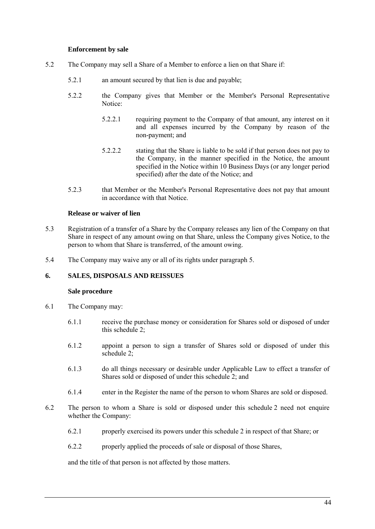### **Enforcement by sale**

- 5.2 The Company may sell a Share of a Member to enforce a lien on that Share if:
	- 5.2.1 an amount secured by that lien is due and payable;
	- 5.2.2 the Company gives that Member or the Member's Personal Representative Notice:
		- 5.2.2.1 requiring payment to the Company of that amount, any interest on it and all expenses incurred by the Company by reason of the non-payment; and
		- 5.2.2.2 stating that the Share is liable to be sold if that person does not pay to the Company, in the manner specified in the Notice, the amount specified in the Notice within 10 Business Days (or any longer period specified) after the date of the Notice; and
	- 5.2.3 that Member or the Member's Personal Representative does not pay that amount in accordance with that Notice.

### **Release or waiver of lien**

- 5.3 Registration of a transfer of a Share by the Company releases any lien of the Company on that Share in respect of any amount owing on that Share, unless the Company gives Notice, to the person to whom that Share is transferred, of the amount owing.
- 5.4 The Company may waive any or all of its rights under paragraph [5.](#page-46-0)

## **6. SALES, DISPOSALS AND REISSUES**

#### **Sale procedure**

- 6.1 The Company may:
	- 6.1.1 receive the purchase money or consideration for Shares sold or disposed of under this schedule [2;](#page-42-0)
	- 6.1.2 appoint a person to sign a transfer of Shares sold or disposed of under this schedule [2;](#page-42-0)
	- 6.1.3 do all things necessary or desirable under Applicable Law to effect a transfer of Shares sold or disposed of under this schedule [2;](#page-42-0) and
	- 6.1.4 enter in the Register the name of the person to whom Shares are sold or disposed.
- 6.2 The person to whom a Share is sold or disposed under this schedule [2](#page-42-0) need not enquire whether the Company:
	- 6.2.1 properly exercised its powers under this schedule [2](#page-42-0) in respect of that Share; or
	- 6.2.2 properly applied the proceeds of sale or disposal of those Shares,

and the title of that person is not affected by those matters.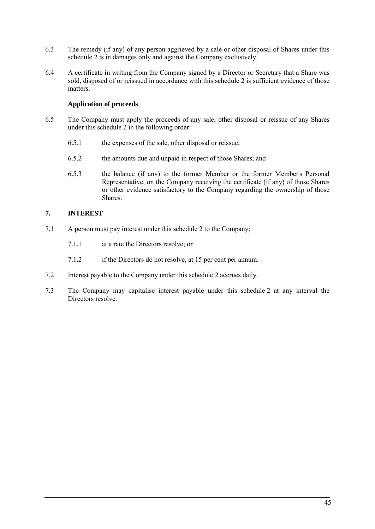- 6.3 The remedy (if any) of any person aggrieved by a sale or other disposal of Shares under this schedule [2](#page-42-0) is in damages only and against the Company exclusively.
- 6.4 A certificate in writing from the Company signed by a Director or Secretary that a Share was sold, disposed of or reissued in accordance with this schedule [2](#page-42-0) is sufficient evidence of those matters.

# **Application of proceeds**

- 6.5 The Company must apply the proceeds of any sale, other disposal or reissue of any Shares under this schedule [2](#page-42-0) in the following order:
	- 6.5.1 the expenses of the sale, other disposal or reissue;
	- 6.5.2 the amounts due and unpaid in respect of those Shares; and
	- 6.5.3 the balance (if any) to the former Member or the former Member's Personal Representative, on the Company receiving the certificate (if any) of those Shares or other evidence satisfactory to the Company regarding the ownership of those Shares.

# **7. INTEREST**

- <span id="page-48-0"></span>7.1 A person must pay interest under this schedule [2](#page-42-0) to the Company:
	- 7.1.1 at a rate the Directors resolve; or
	- 7.1.2 if the Directors do not resolve, at 15 per cent per annum.
- 7.2 Interest payable to the Company under this schedule [2](#page-42-0) accrues daily.
- 7.3 The Company may capitalise interest payable under this schedule [2](#page-42-0) at any interval the Directors resolve.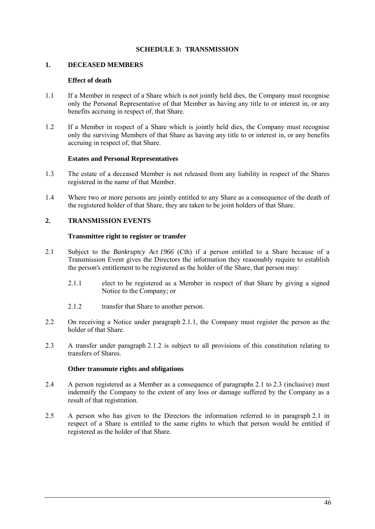# **SCHEDULE 3: TRANSMISSION**

### <span id="page-49-0"></span>**1. DECEASED MEMBERS**

### **Effect of death**

- 1.1 If a Member in respect of a Share which is not jointly held dies, the Company must recognise only the Personal Representative of that Member as having any title to or interest in, or any benefits accruing in respect of, that Share.
- 1.2 If a Member in respect of a Share which is jointly held dies, the Company must recognise only the surviving Members of that Share as having any title to or interest in, or any benefits accruing in respect of, that Share.

### **Estates and Personal Representatives**

- 1.3 The estate of a deceased Member is not released from any liability in respect of the Shares registered in the name of that Member.
- 1.4 Where two or more persons are jointly entitled to any Share as a consequence of the death of the registered holder of that Share, they are taken to be joint holders of that Share.

# **2. TRANSMISSION EVENTS**

### **Transmittee right to register or transfer**

- <span id="page-49-3"></span><span id="page-49-1"></span>2.1 Subject to the *Bankruptcy Act 1966* (Cth) if a person entitled to a Share because of a Transmission Event gives the Directors the information they reasonably require to establish the person's entitlement to be registered as the holder of the Share, that person may:
	- 2.1.1 elect to be registered as a Member in respect of that Share by giving a signed Notice to the Company; or
	- 2.1.2 transfer that Share to another person.
- <span id="page-49-2"></span>2.2 On receiving a Notice under paragraph [2.1.1,](#page-49-1) the Company must register the person as the holder of that Share.
- <span id="page-49-4"></span>2.3 A transfer under paragraph [2.1.2](#page-49-2) is subject to all provisions of this constitution relating to transfers of Shares.

### **Other transmute rights and obligations**

- 2.4 A person registered as a Member as a consequence of paragraphs [2.1](#page-49-3) to [2.3](#page-49-4) (inclusive) must indemnify the Company to the extent of any loss or damage suffered by the Company as a result of that registration.
- 2.5 A person who has given to the Directors the information referred to in paragraph [2.1](#page-49-3) in respect of a Share is entitled to the same rights to which that person would be entitled if registered as the holder of that Share.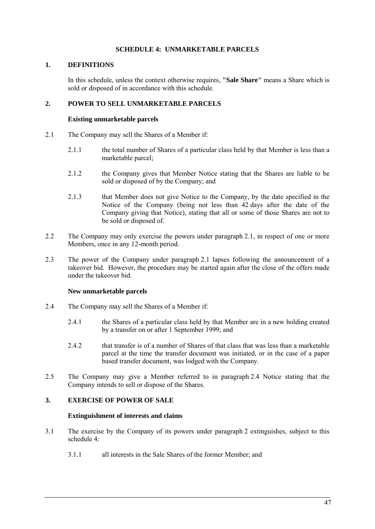# **SCHEDULE 4: UNMARKETABLE PARCELS**

# <span id="page-50-0"></span>**1. DEFINITIONS**

In this schedule, unless the context otherwise requires, **"Sale Share"** means a Share which is sold or disposed of in accordance with this schedule.

# <span id="page-50-3"></span>**2. POWER TO SELL UNMARKETABLE PARCELS**

### **Existing unmarketable parcels**

- <span id="page-50-1"></span>2.1 The Company may sell the Shares of a Member if:
	- 2.1.1 the total number of Shares of a particular class held by that Member is less than a marketable parcel;
	- 2.1.2 the Company gives that Member Notice stating that the Shares are liable to be sold or disposed of by the Company; and
	- 2.1.3 that Member does not give Notice to the Company, by the date specified in the Notice of the Company (being not less than 42 days after the date of the Company giving that Notice), stating that all or some of those Shares are not to be sold or disposed of.
- 2.2 The Company may only exercise the powers under paragraph [2.1,](#page-50-1) in respect of one or more Members, once in any 12-month period.
- <span id="page-50-4"></span>2.3 The power of the Company under paragraph [2.1](#page-50-1) lapses following the announcement of a takeover bid. However, the procedure may be started again after the close of the offers made under the takeover bid.

### **New unmarketable parcels**

- <span id="page-50-2"></span>2.4 The Company may sell the Shares of a Member if:
	- 2.4.1 the Shares of a particular class held by that Member are in a new holding created by a transfer on or after 1 September 1999; and
	- 2.4.2 that transfer is of a number of Shares of that class that was less than a marketable parcel at the time the transfer document was initiated, or in the case of a paper based transfer document, was lodged with the Company.
- <span id="page-50-5"></span>2.5 The Company may give a Member referred to in paragraph [2.4](#page-50-2) Notice stating that the Company intends to sell or dispose of the Shares.

# **3. EXERCISE OF POWER OF SALE**

### **Extinguishment of interests and claims**

- 3.1 The exercise by the Company of its powers under paragraph [2](#page-50-3) extinguishes, subject to this schedule [4:](#page-50-0)
	- 3.1.1 all interests in the Sale Shares of the former Member; and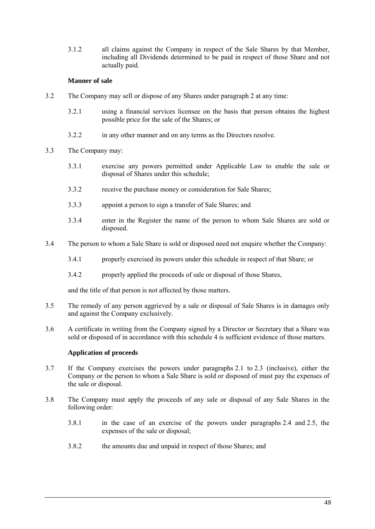3.1.2 all claims against the Company in respect of the Sale Shares by that Member, including all Dividends determined to be paid in respect of those Share and not actually paid.

# **Manner of sale**

- 3.2 The Company may sell or dispose of any Shares under paragraph [2](#page-50-3) at any time:
	- 3.2.1 using a financial services licensee on the basis that person obtains the highest possible price for the sale of the Shares; or
	- 3.2.2 in any other manner and on any terms as the Directors resolve.
- 3.3 The Company may:
	- 3.3.1 exercise any powers permitted under Applicable Law to enable the sale or disposal of Shares under this schedule;
	- 3.3.2 receive the purchase money or consideration for Sale Shares;
	- 3.3.3 appoint a person to sign a transfer of Sale Shares; and
	- 3.3.4 enter in the Register the name of the person to whom Sale Shares are sold or disposed.
- 3.4 The person to whom a Sale Share is sold or disposed need not enquire whether the Company:
	- 3.4.1 properly exercised its powers under this schedule in respect of that Share; or
	- 3.4.2 properly applied the proceeds of sale or disposal of those Shares,

and the title of that person is not affected by those matters.

- 3.5 The remedy of any person aggrieved by a sale or disposal of Sale Shares is in damages only and against the Company exclusively.
- 3.6 A certificate in writing from the Company signed by a Director or Secretary that a Share was sold or disposed of in accordance with this schedule [4](#page-50-0) is sufficient evidence of those matters.

# **Application of proceeds**

- 3.7 If the Company exercises the powers under paragraphs [2.1](#page-50-1) to [2.3](#page-50-4) (inclusive), either the Company or the person to whom a Sale Share is sold or disposed of must pay the expenses of the sale or disposal.
- 3.8 The Company must apply the proceeds of any sale or disposal of any Sale Shares in the following order:
	- 3.8.1 in the case of an exercise of the powers under paragraphs [2.4](#page-50-2) and [2.5,](#page-50-5) the expenses of the sale or disposal;
	- 3.8.2 the amounts due and unpaid in respect of those Shares; and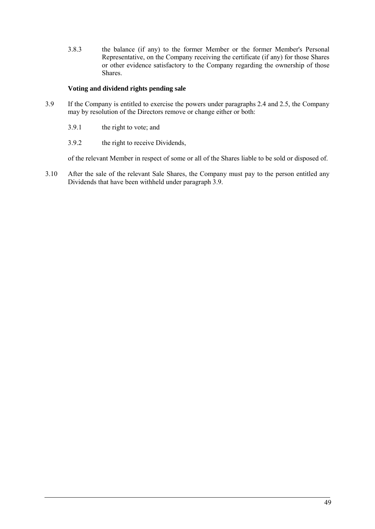3.8.3 the balance (if any) to the former Member or the former Member's Personal Representative, on the Company receiving the certificate (if any) for those Shares or other evidence satisfactory to the Company regarding the ownership of those Shares.

# **Voting and dividend rights pending sale**

- <span id="page-52-0"></span>3.9 If the Company is entitled to exercise the powers under paragraphs [2.4](#page-50-2) and [2.5,](#page-50-5) the Company may by resolution of the Directors remove or change either or both:
	- 3.9.1 the right to vote; and
	- 3.9.2 the right to receive Dividends,

of the relevant Member in respect of some or all of the Shares liable to be sold or disposed of.

3.10 After the sale of the relevant Sale Shares, the Company must pay to the person entitled any Dividends that have been withheld under paragraph [3.9.](#page-52-0)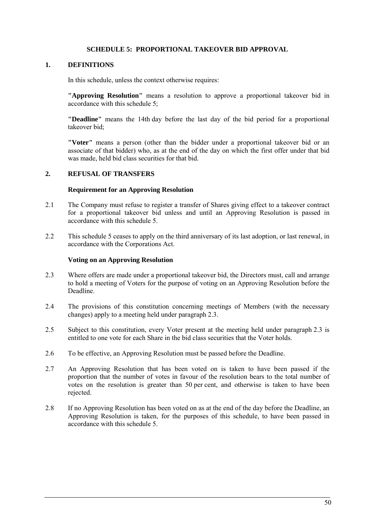## **SCHEDULE 5: PROPORTIONAL TAKEOVER BID APPROVAL**

### <span id="page-53-0"></span>**1. DEFINITIONS**

In this schedule, unless the context otherwise requires:

**"Approving Resolution"** means a resolution to approve a proportional takeover bid in accordance with this schedule [5;](#page-53-0)

**"Deadline"** means the 14th day before the last day of the bid period for a proportional takeover bid;

**"Voter"** means a person (other than the bidder under a proportional takeover bid or an associate of that bidder) who, as at the end of the day on which the first offer under that bid was made, held bid class securities for that bid.

# **2. REFUSAL OF TRANSFERS**

### **Requirement for an Approving Resolution**

- 2.1 The Company must refuse to register a transfer of Shares giving effect to a takeover contract for a proportional takeover bid unless and until an Approving Resolution is passed in accordance with this schedule [5.](#page-53-0)
- 2.2 This schedule [5](#page-53-0) ceases to apply on the third anniversary of its last adoption, or last renewal, in accordance with the Corporations Act.

### **Voting on an Approving Resolution**

- <span id="page-53-1"></span>2.3 Where offers are made under a proportional takeover bid, the Directors must, call and arrange to hold a meeting of Voters for the purpose of voting on an Approving Resolution before the Deadline.
- 2.4 The provisions of this constitution concerning meetings of Members (with the necessary changes) apply to a meeting held under paragraph [2.3.](#page-53-1)
- 2.5 Subject to this constitution, every Voter present at the meeting held under paragraph [2.3](#page-53-1) is entitled to one vote for each Share in the bid class securities that the Voter holds.
- 2.6 To be effective, an Approving Resolution must be passed before the Deadline.
- 2.7 An Approving Resolution that has been voted on is taken to have been passed if the proportion that the number of votes in favour of the resolution bears to the total number of votes on the resolution is greater than 50 per cent, and otherwise is taken to have been rejected.
- 2.8 If no Approving Resolution has been voted on as at the end of the day before the Deadline, an Approving Resolution is taken, for the purposes of this schedule, to have been passed in accordance with this schedule [5.](#page-53-0)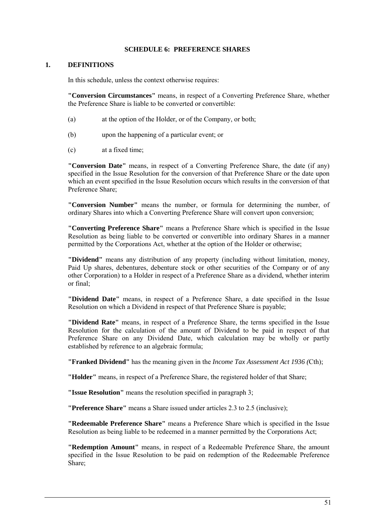### **SCHEDULE 6: PREFERENCE SHARES**

### <span id="page-54-0"></span>**1. DEFINITIONS**

In this schedule, unless the context otherwise requires:

**"Conversion Circumstances"** means, in respect of a Converting Preference Share, whether the Preference Share is liable to be converted or convertible:

- (a) at the option of the Holder, or of the Company, or both;
- (b) upon the happening of a particular event; or
- (c) at a fixed time;

**"Conversion Date"** means, in respect of a Converting Preference Share, the date (if any) specified in the Issue Resolution for the conversion of that Preference Share or the date upon which an event specified in the Issue Resolution occurs which results in the conversion of that Preference Share;

**"Conversion Number"** means the number, or formula for determining the number, of ordinary Shares into which a Converting Preference Share will convert upon conversion;

**"Converting Preference Share"** means a Preference Share which is specified in the Issue Resolution as being liable to be converted or convertible into ordinary Shares in a manner permitted by the Corporations Act, whether at the option of the Holder or otherwise;

**"Dividend"** means any distribution of any property (including without limitation, money, Paid Up shares, debentures, debenture stock or other securities of the Company or of any other Corporation) to a Holder in respect of a Preference Share as a dividend, whether interim or final;

**"Dividend Date"** means, in respect of a Preference Share, a date specified in the Issue Resolution on which a Dividend in respect of that Preference Share is payable;

**"Dividend Rate"** means, in respect of a Preference Share, the terms specified in the Issue Resolution for the calculation of the amount of Dividend to be paid in respect of that Preference Share on any Dividend Date, which calculation may be wholly or partly established by reference to an algebraic formula;

**"Franked Dividend"** has the meaning given in the *Income Tax Assessment Act 1936 (*Cth);

**"Holder"** means, in respect of a Preference Share, the registered holder of that Share;

**"Issue Resolution"** means the resolution specified in paragraph [3;](#page-55-0)

**"Preference Share"** means a Share issued under articles [2.3](#page-5-5) to [2.5](#page-5-6) (inclusive);

**"Redeemable Preference Share"** means a Preference Share which is specified in the Issue Resolution as being liable to be redeemed in a manner permitted by the Corporations Act;

**"Redemption Amount"** means, in respect of a Redeemable Preference Share, the amount specified in the Issue Resolution to be paid on redemption of the Redeemable Preference Share;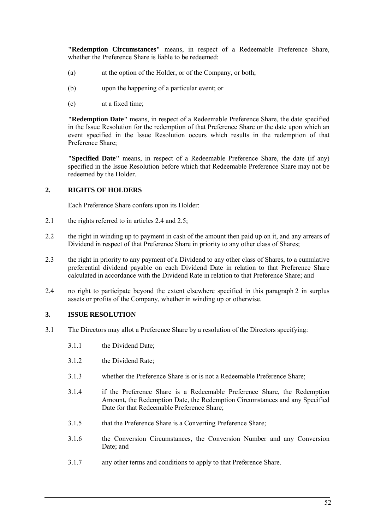**"Redemption Circumstances"** means, in respect of a Redeemable Preference Share, whether the Preference Share is liable to be redeemed:

- (a) at the option of the Holder, or of the Company, or both;
- (b) upon the happening of a particular event; or
- (c) at a fixed time;

**"Redemption Date"** means, in respect of a Redeemable Preference Share, the date specified in the Issue Resolution for the redemption of that Preference Share or the date upon which an event specified in the Issue Resolution occurs which results in the redemption of that Preference Share;

**"Specified Date"** means, in respect of a Redeemable Preference Share, the date (if any) specified in the Issue Resolution before which that Redeemable Preference Share may not be redeemed by the Holder.

# <span id="page-55-1"></span>**2. RIGHTS OF HOLDERS**

Each Preference Share confers upon its Holder:

- 2.1 the rights referred to in articles [2.4](#page-5-7) and [2.5;](#page-5-6)
- 2.2 the right in winding up to payment in cash of the amount then paid up on it, and any arrears of Dividend in respect of that Preference Share in priority to any other class of Shares;
- 2.3 the right in priority to any payment of a Dividend to any other class of Shares, to a cumulative preferential dividend payable on each Dividend Date in relation to that Preference Share calculated in accordance with the Dividend Rate in relation to that Preference Share; and
- 2.4 no right to participate beyond the extent elsewhere specified in this paragraph [2](#page-55-1) in surplus assets or profits of the Company, whether in winding up or otherwise.

# <span id="page-55-0"></span>**3. ISSUE RESOLUTION**

- 3.1 The Directors may allot a Preference Share by a resolution of the Directors specifying:
	- 3.1.1 the Dividend Date;
	- 3.1.2 the Dividend Rate;
	- 3.1.3 whether the Preference Share is or is not a Redeemable Preference Share;
	- 3.1.4 if the Preference Share is a Redeemable Preference Share, the Redemption Amount, the Redemption Date, the Redemption Circumstances and any Specified Date for that Redeemable Preference Share;
	- 3.1.5 that the Preference Share is a Converting Preference Share;
	- 3.1.6 the Conversion Circumstances, the Conversion Number and any Conversion Date; and
	- 3.1.7 any other terms and conditions to apply to that Preference Share.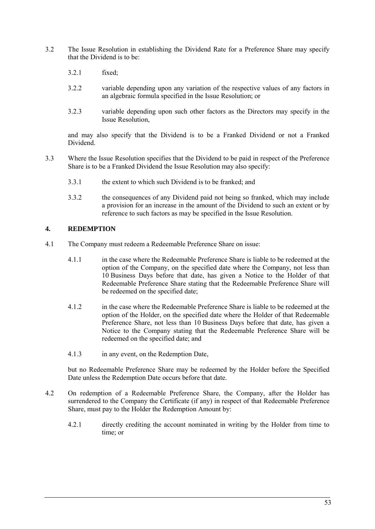- 3.2 The Issue Resolution in establishing the Dividend Rate for a Preference Share may specify that the Dividend is to be:
	- 3.2.1 fixed;
	- 3.2.2 variable depending upon any variation of the respective values of any factors in an algebraic formula specified in the Issue Resolution; or
	- 3.2.3 variable depending upon such other factors as the Directors may specify in the Issue Resolution,

and may also specify that the Dividend is to be a Franked Dividend or not a Franked Dividend.

- 3.3 Where the Issue Resolution specifies that the Dividend to be paid in respect of the Preference Share is to be a Franked Dividend the Issue Resolution may also specify:
	- 3.3.1 the extent to which such Dividend is to be franked; and
	- 3.3.2 the consequences of any Dividend paid not being so franked, which may include a provision for an increase in the amount of the Dividend to such an extent or by reference to such factors as may be specified in the Issue Resolution.

# **4. REDEMPTION**

- 4.1 The Company must redeem a Redeemable Preference Share on issue:
	- 4.1.1 in the case where the Redeemable Preference Share is liable to be redeemed at the option of the Company, on the specified date where the Company, not less than 10 Business Days before that date, has given a Notice to the Holder of that Redeemable Preference Share stating that the Redeemable Preference Share will be redeemed on the specified date;
	- 4.1.2 in the case where the Redeemable Preference Share is liable to be redeemed at the option of the Holder, on the specified date where the Holder of that Redeemable Preference Share, not less than 10 Business Days before that date, has given a Notice to the Company stating that the Redeemable Preference Share will be redeemed on the specified date; and
	- 4.1.3 in any event, on the Redemption Date,

but no Redeemable Preference Share may be redeemed by the Holder before the Specified Date unless the Redemption Date occurs before that date.

- 4.2 On redemption of a Redeemable Preference Share, the Company, after the Holder has surrendered to the Company the Certificate (if any) in respect of that Redeemable Preference Share, must pay to the Holder the Redemption Amount by:
	- 4.2.1 directly crediting the account nominated in writing by the Holder from time to time; or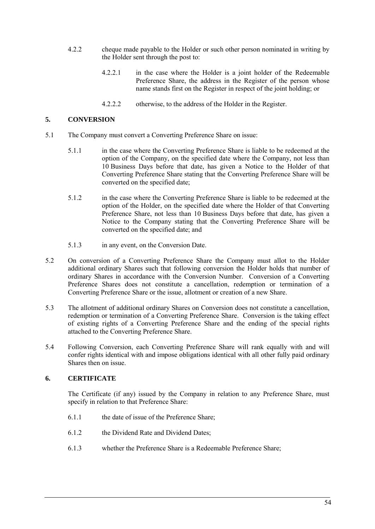- 4.2.2 cheque made payable to the Holder or such other person nominated in writing by the Holder sent through the post to:
	- 4.2.2.1 in the case where the Holder is a joint holder of the Redeemable Preference Share, the address in the Register of the person whose name stands first on the Register in respect of the joint holding; or
	- 4.2.2.2 otherwise, to the address of the Holder in the Register.

# **5. CONVERSION**

- 5.1 The Company must convert a Converting Preference Share on issue:
	- 5.1.1 in the case where the Converting Preference Share is liable to be redeemed at the option of the Company, on the specified date where the Company, not less than 10 Business Days before that date, has given a Notice to the Holder of that Converting Preference Share stating that the Converting Preference Share will be converted on the specified date;
	- 5.1.2 in the case where the Converting Preference Share is liable to be redeemed at the option of the Holder, on the specified date where the Holder of that Converting Preference Share, not less than 10 Business Days before that date, has given a Notice to the Company stating that the Converting Preference Share will be converted on the specified date; and
	- 5.1.3 in any event, on the Conversion Date.
- 5.2 On conversion of a Converting Preference Share the Company must allot to the Holder additional ordinary Shares such that following conversion the Holder holds that number of ordinary Shares in accordance with the Conversion Number. Conversion of a Converting Preference Shares does not constitute a cancellation, redemption or termination of a Converting Preference Share or the issue, allotment or creation of a new Share.
- 5.3 The allotment of additional ordinary Shares on Conversion does not constitute a cancellation, redemption or termination of a Converting Preference Share. Conversion is the taking effect of existing rights of a Converting Preference Share and the ending of the special rights attached to the Converting Preference Share.
- 5.4 Following Conversion, each Converting Preference Share will rank equally with and will confer rights identical with and impose obligations identical with all other fully paid ordinary Shares then on issue.

# **6. CERTIFICATE**

The Certificate (if any) issued by the Company in relation to any Preference Share, must specify in relation to that Preference Share:

- 6.1.1 the date of issue of the Preference Share;
- 6.1.2 the Dividend Rate and Dividend Dates;
- 6.1.3 whether the Preference Share is a Redeemable Preference Share;